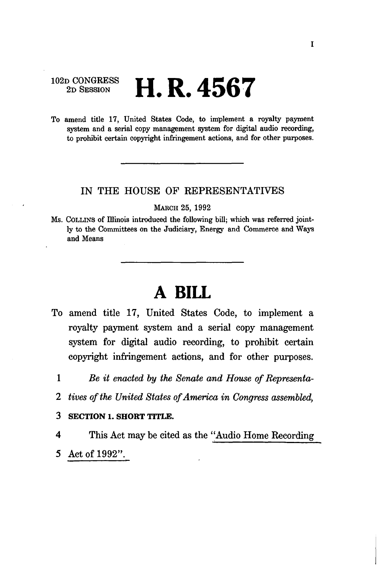# $102D$  CONGRESS YY **D**  $A E C$ **2D SESSION f-LK . 4DO 7**

To amend title 17, United States Code, to implement a royalty payment system and a serial copy management system for digital audio recording, to prohibit certain copyright infringement actions, and for other purposes.

### IN THE HOUSE OF REPRESENTATIVES

MARCH 25, 1992

Ms. COLLINS of Illinois introduced the following bill; which was referred jointly to the Committees on the Judiciary, Energy and Commerce and Ways and Means

# **A BILL**

- To amend title 17, United States Code, to implement a royalty payment system and a serial copy management system for digital audio recording, to prohibit certain copyright infringement actions, and for other purposes.
	- 1 *Be it enacted by the Senate and House of Representa-*
	- 2 *tives of the United States of America in Congress assembled,*
	- **3 SECTION 1. SHORT TITLE.**
	- 4 This Act may be cited as the "Audio Home Recording 5 Act of 1992".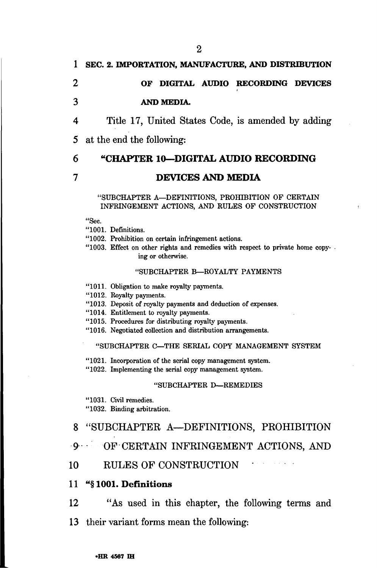### 1 SEC. 2. IMPORTATION, MANUFACTURE, AND DISTRIBUTION

# **2 OF DIGITAL AUDIO RECORDING DEVICES**

### **3 AND MEDIA.**

4 Title 17, United States Code, is amended by adding

5 at the end the following:

### 6 **"CHAPTER 10—DIGITAL AUDIO RECORDING**

#### **7 DEVICES AND MEDIA**

#### "SUBCHAPTER A—DEFINITIONS, PROHIBITION OF CERTAIN INFRINGEMENT ACTIONS, AND RULES OF CONSTRUCTION

"Sec.

"1001. Definitions.

"1002. Prohibition on certain infringement actions.

"1003. Effect on other rights and remedies with respect to private home copying or otherwise.

#### "SUBCHAPTER B—ROYALTY PAYMENTS

"1011. Obligation to make royalty payments.

"1012. Royalty payments.

"1013. Deposit of royalty payments and deduction of expenses.

"1014. Entitlement to royalty payments.

"1015. Procedures for distributing royalty payments.

"1016. Negotiated collection and distribution arrangements.

#### "SUBCHAPTER C—THE SERIAL COPY MANAGEMENT SYSTEM

"1021. Incorporation of the serial copy management system.

"1022. Implementing the serial copy management system.

#### "SUBCHAPTER D—REMEDIES

"1031. Civil remedies.

"1032. Binding arbitration.

### 8 "SUBCHAPTER A—DEFINITIONS, PROHIBITION

9 OF CERTAIN INFRINGEMENT ACTIONS, AND

10 RULES OF CONSTRUCTION

### 11 "§ **1001. Definitions**

12 "As used in this chapter, the following terms and

13 their variant forms mean the following: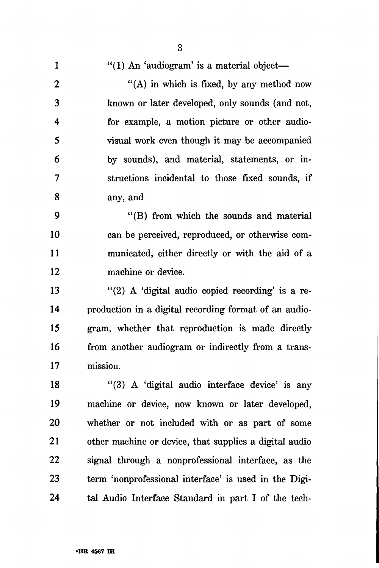|                         | 3                                                      |
|-------------------------|--------------------------------------------------------|
| $\mathbf{1}$            | $"(1)$ An 'audiogram' is a material object—            |
| $\boldsymbol{2}$        | "(A) in which is fixed, by any method now              |
| 3                       | known or later developed, only sounds (and not,        |
| $\overline{\mathbf{4}}$ | for example, a motion picture or other audio-          |
| 5                       | visual work even though it may be accompanied          |
| 6                       | by sounds), and material, statements, or in-           |
| 7                       | structions incidental to those fixed sounds, if        |
| 8                       | any, and                                               |
| 9                       | "(B) from which the sounds and material                |
| 10                      | can be perceived, reproduced, or otherwise com-        |
| 11                      | municated, either directly or with the aid of a        |
| 12                      | machine or device.                                     |
| 13                      | "(2) A 'digital audio copied recording' is a re-       |
| 14                      | production in a digital recording format of an audio-  |
| 15                      | gram, whether that reproduction is made directly       |
| 16                      | from another audiogram or indirectly from a trans-     |
| 17                      | mission.                                               |
| 18                      | "(3) A 'digital audio interface device' is any         |
| 19                      | machine or device, now known or later developed,       |
| 20                      | whether or not included with or as part of some        |
| 21                      | other machine or device, that supplies a digital audio |
| 22                      | signal through a nonprofessional interface, as the     |

23 term 'nonprofessional interface' is used in the Digi-24 tal Audio Interface Standard in part I of the tech-

 $\ddot{\mathbf{Q}}$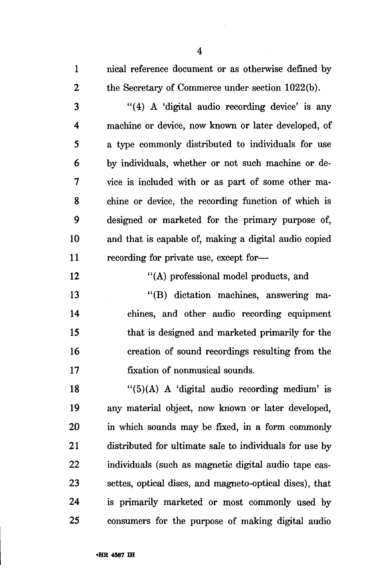1 nical reference document or as otherwise defined by 2 the Secretary of Commerce under section 1022(b).

3 "(4) A 'digital audio recording device' is any 4 machine or device, now known or later developed, of 5 a type commonly distributed to individuals for use 6 by individuals, whether or not such machine or de-7 vice is included with or as part of some other ma-8 chine or device, the recording function of which is 9 designed or marketed for the primary purpose of, 10 and that is capable of, making a digital audio copied 11 recording for private use, except for—

12 "(A) professional model products, and

13 "(B) dictation machines, answering ma-14 chines, and other audio recording equipment 15 that is designed and marketed primarily for the 16 creation of sound recordings resulting from the 17 fixation of nonmusical sounds.

18  $\frac{1}{5}(A)$  A 'digital audio recording medium' is 19 any material object, now known or later developed, 20 in which sounds may be fixed, in a form commonly 21 distributed for ultimate sale to individuals for use by 22 individuals (such as magnetic digital audio tape cas-23 settes, optical discs, and magneto-optical discs), that 24 is primarily marketed or most commonly used by 25 consumers for the purpose of making digital audio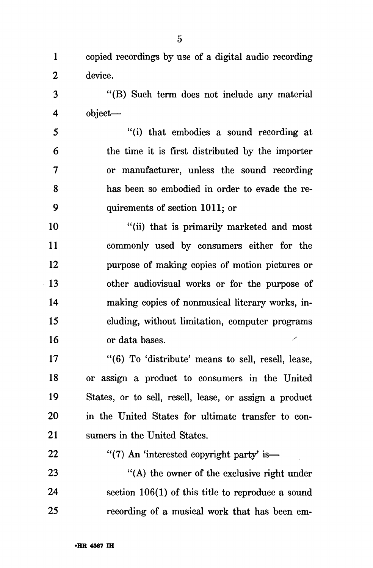1 copied recordings by use of a digital audio recording 2 device.

3 "(B) Such term does not include any material 4 object—

5 "(i) that embodies a sound recording at 6 the time it is first distributed by the importer 7 or manufacturer, unless the sound recording 8 has been so embodied in order to evade the re-9 quirements of section 1011; or

10 "(ii) that is primarily marketed and most 11 commonly used by consumers either for the 12 purpose of making copies of motion pictures or 13 other audiovisual works or for the purpose of 14 making copies of nonmusical literary works, in-15 eluding, without limitation, computer programs 16 or data bases.

17 "(6) To 'distribute' means to sell, resell, lease, 18 or assign a product to consumers in the United 19 States, or to sell, resell, lease, or assign a product 20 in the United States for ultimate transfer to con-21 sumers in the United States.

22  $\frac{4}{7}$  An 'interested copyright party' is— 23 "(A) the owner of the exclusive right under 24 section 106(1) of this title to reproduce a sound 25 recording of a musical work that has been em-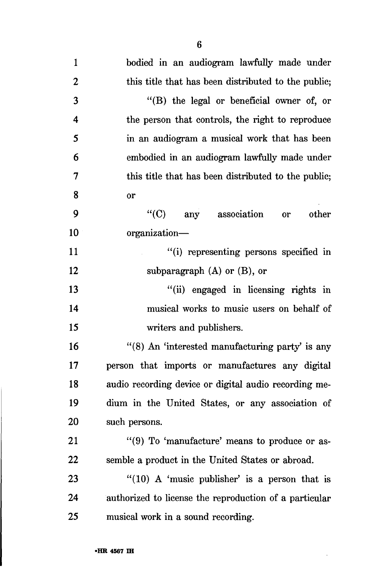| 1                  | bodied in an audiogram lawfully made under             |
|--------------------|--------------------------------------------------------|
| $\boldsymbol{2}$   | this title that has been distributed to the public;    |
| 3                  | "(B) the legal or beneficial owner of, or              |
| $\overline{\bf 4}$ | the person that controls, the right to reproduce       |
| 5                  | in an audiogram a musical work that has been           |
| 6                  | embodied in an audiogram lawfully made under           |
| 7                  | this title that has been distributed to the public;    |
| 8                  | or                                                     |
| 9                  | $\lq\lq$ (C) any association<br>other<br><b>or</b>     |
| 10                 | organization-                                          |
| 11                 | "(i) representing persons specified in                 |
| 12                 | subparagraph $(A)$ or $(B)$ , or                       |
| 13                 | "(ii) engaged in licensing rights in                   |
| 14                 | musical works to music users on behalf of              |
| 15                 | writers and publishers.                                |
| 16                 | "(8) An 'interested manufacturing party' is any        |
| 17                 | person that imports or manufactures any digital        |
| 18                 | audio recording device or digital audio recording me-  |
| 19                 | dium in the United States, or any association of       |
| 20                 | such persons.                                          |
| 21                 | "(9) To 'manufacture' means to produce or as-          |
| 22                 | semble a product in the United States or abroad.       |
| 23                 | $"(10)$ A 'music publisher' is a person that is        |
| 24                 | authorized to license the reproduction of a particular |
| 25                 | musical work in a sound recording.                     |

 $\mathcal{A}^{\mathcal{A}}$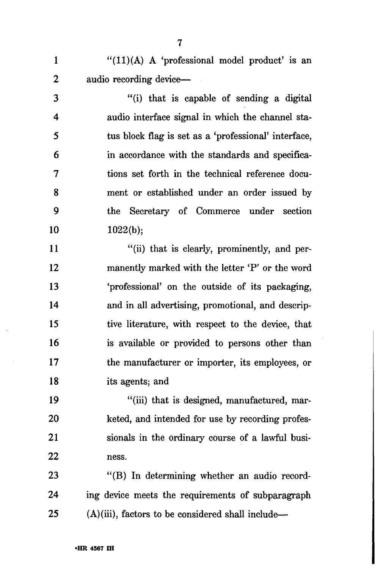$1$  "(11)(A) A 'professional model product' is an 2 audio recording device—

3 "(i) that is capable of sending a digital 4 audio interface signal in which the channel sta-5 tus block flag is set as a 'professional' interface, 6 in accordance with the standards and specifica-7 tions set forth in the technical reference docu-8 ment or established under an order issued by 9 the Secretary of Commerce under section 10 1022(b);

11 "(ii) that is clearly, prominently, and per-12 manently marked with the letter 'P' or the word 13 'professional' on the outside of its packaging, 14 and in all advertising, promotional, and descrip-15 tive literature, with respect to the device, that 16 is available or provided to persons other than 17 the manufacturer or importer, its employees, or 18 its agents; and

19 "(iii) that is designed, manufactured, mar-20 keted, and intended for use by recording profes-21 sionals in the ordinary course of a lawful busi-22 ness.

23 "(B) In determining whether an audio record-24 ing device meets the requirements of subparagraph  $25$  (A)(iii), factors to be considered shall include—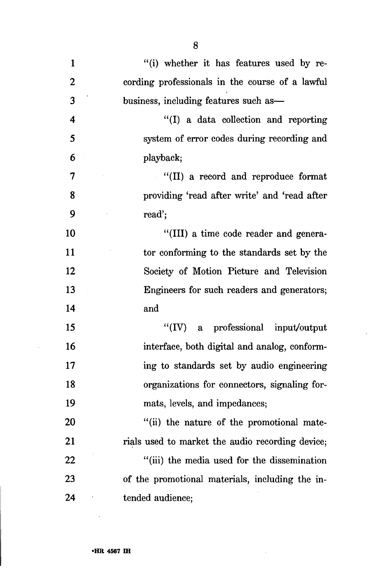| $\mathbf{1}$            | "(i) whether it has features used by re-         |
|-------------------------|--------------------------------------------------|
| $\boldsymbol{2}$        | cording professionals in the course of a lawful  |
| 3                       | business, including features such as-            |
| $\overline{\mathbf{4}}$ | "(I) a data collection and reporting             |
| 5                       | system of error codes during recording and       |
| 6                       | playback;                                        |
| 7                       | "(II) a record and reproduce format              |
| 8                       | providing 'read after write' and 'read after     |
| 9                       | read';                                           |
| 10                      | "(III) a time code reader and genera-            |
| 11                      | tor conforming to the standards set by the       |
| 12                      | Society of Motion Picture and Television         |
| 13                      | Engineers for such readers and generators;       |
| 14                      | and                                              |
| 15                      | "(IV) a professional input/output                |
| 16                      | interface, both digital and analog, conform-     |
| 17                      | ing to standards set by audio engineering        |
| 18                      | organizations for connectors, signaling for-     |
| 19                      | mats, levels, and impedances;                    |
| <b>20</b>               | "(ii) the nature of the promotional mate-        |
| 21                      | rials used to market the audio recording device; |
| 22                      | "(iii) the media used for the dissemination      |
| 23                      | of the promotional materials, including the in-  |
| 24                      | tended audience;                                 |

 $\mathcal{A}^{\mathcal{A}}$ 

 $\hat{\mathcal{A}}$ 

 $\sim 10^{-1}$ 

 $\sim 10^6$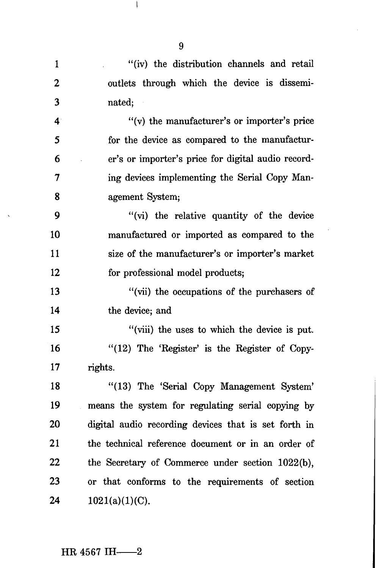| $\mathbf{1}$     | "(iv) the distribution channels and retail           |
|------------------|------------------------------------------------------|
| $\boldsymbol{2}$ | outlets through which the device is dissemi-         |
| 3                | nated;                                               |
| $\overline{4}$   | "(v) the manufacturer's or importer's price          |
| 5                | for the device as compared to the manufactur-        |
| 6                | er's or importer's price for digital audio record-   |
| 7                | ing devices implementing the Serial Copy Man-        |
| 8                | agement System;                                      |
| 9                | "(vi) the relative quantity of the device"           |
| 10               | manufactured or imported as compared to the          |
| 11               | size of the manufacturer's or importer's market      |
| 12               | for professional model products;                     |
| 13               | "(vii) the occupations of the purchasers of          |
| 14               | the device; and                                      |
| 15               | "(viii) the uses to which the device is put.         |
| 16               | "(12) The 'Register' is the Register of Copy-        |
| 17               | rights.                                              |
| 18               | "(13) The 'Serial Copy Management System'            |
| 19               | means the system for regulating serial copying by    |
| 20               | digital audio recording devices that is set forth in |
| 21               | the technical reference document or in an order of   |
| 22               | the Secretary of Commerce under section 1022(b),     |
| 23               | or that conforms to the requirements of section      |
| 24               | $1021(a)(1)(C)$ .                                    |

9

**I** 

# $HR$  4567 IH- $-2$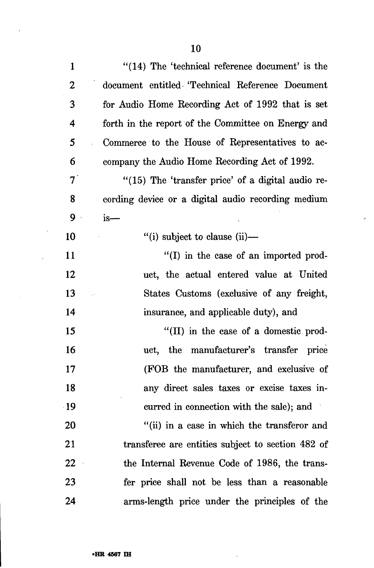$\frac{1}{2}$ 

 $\sim$ 

l,

 $\mathcal{A}^{\mathcal{A}}$ 

| $\mathbf{1}$     | $''(14)$ The 'technical reference document' is the    |
|------------------|-------------------------------------------------------|
| $\boldsymbol{2}$ | document entitled 'Technical Reference Document       |
| 3                | for Audio Home Recording Act of 1992 that is set      |
| 4                | forth in the report of the Committee on Energy and    |
| 5                | Commerce to the House of Representatives to ac-       |
| 6                | company the Audio Home Recording Act of 1992.         |
| $7^{\degree}$    | $\lq(15)$ The 'transfer price' of a digital audio re- |
| 8                | cording device or a digital audio recording medium    |
| 9                | $is-$                                                 |
| 10               | "(i) subject to clause $(ii)$ —                       |
| <b>11</b>        | $\lq(1)$ in the case of an imported prod-             |
| 12               | uct, the actual entered value at United               |
| 13               | States Customs (exclusive of any freight,             |
| 14               | insurance, and applicable duty), and                  |
| 15               | $\lq$ (II) in the case of a domestic prod-            |
| 16               | the manufacturer's transfer price<br>uct,             |
| 17               | (FOB the manufacturer, and exclusive of               |
| 18               | any direct sales taxes or excise taxes in-            |
| $\cdot$ 19       | curred in connection with the sale); and              |
| 20               | "(ii) in a case in which the transferor and           |
| 21               | transferee are entities subject to section 482 of     |
| 22               | the Internal Revenue Code of 1986, the trans-         |
| 23               | fer price shall not be less than a reasonable         |
| 24               | arms-length price under the principles of the         |

 $\mathcal{A}$ 

 $\bar{\lambda}$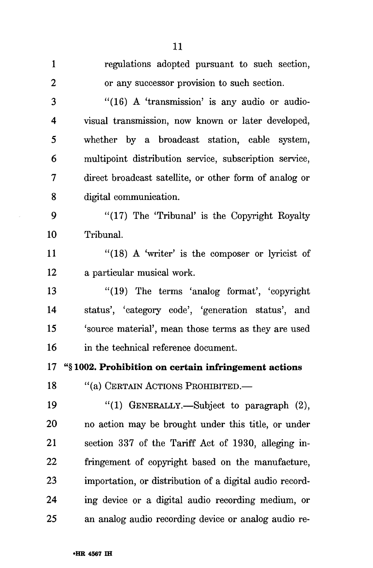| $\mathbf{1}$ | regulations adopted pursuant to such section,           |
|--------------|---------------------------------------------------------|
| 2            | or any successor provision to such section.             |
| 3            | $"(16)$ A 'transmission' is any audio or audio-         |
| 4            | visual transmission, now known or later developed,      |
| 5            | whether by a broadcast station, cable system,           |
| 6            | multipoint distribution service, subscription service,  |
| 7            | direct broadcast satellite, or other form of analog or  |
| 8            | digital communication.                                  |
| 9            | "(17) The 'Tribunal' is the Copyright Royalty           |
| 10           | Tribunal.                                               |
| 11           | " $(18)$ A 'writer' is the composer or lyricist of      |
| 12           | a particular musical work.                              |
| 13           | $"(19)$ The terms 'analog format', 'copyright'          |
| 14           | status', 'category code', 'generation status', and      |
| 15           | 'source material', mean those terms as they are used    |
| 16           | in the technical reference document.                    |
| 17           | "§1002. Prohibition on certain infringement actions     |
| 18           | "(a) CERTAIN ACTIONS PROHIBITED.                        |
| 19           | "(1) GENERALLY.—Subject to paragraph (2),               |
| 20           | no action may be brought under this title, or under     |
| 21           | section 337 of the Tariff Act of 1930, alleging in-     |
| 22           | fringement of copyright based on the manufacture,       |
| 23           | importation, or distribution of a digital audio record- |
| 24           | ing device or a digital audio recording medium, or      |
| 25           | an analog audio recording device or analog audio re-    |

 $\sim$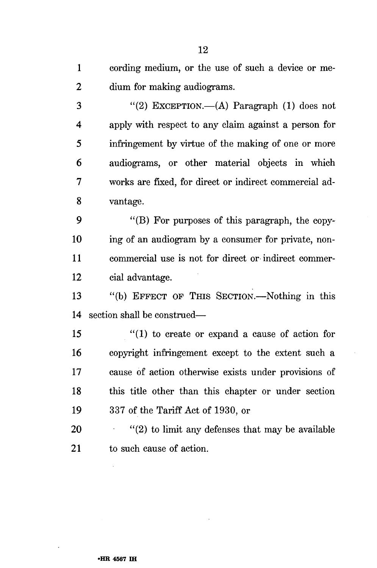1 cording medium, or the use of such a device or me-2 dium for making audiograms.

3 "(2) EXCEPTION.—(A) Paragraph (1) does not 4 apply with respect to any claim against a person for 5 infringement by virtue of the making of one or more 6 audiograms, or other material objects in which 7 works are fixed, for direct or indirect commercial ad-8 vantage.

9 "(B) For purposes of this paragraph, the copy-10 ing of an audiogram by a consumer for private, non-11 commercial use is not for direct or indirect commer-12 cial advantage.

13 "(b) EFFECT OF THIS SECTION.—Nothing in this 14 section shall be construed—

15 "(1) to create or expand a cause of action for 16 copyright infringement except to the extent such a 17 cause of action otherwise exists under provisions of 18 this title other than this chapter or under section 19 337 of the Tariff Act of 1930, or

20  $\cdots$  (2) to limit any defenses that may be available 21 to such cause of action.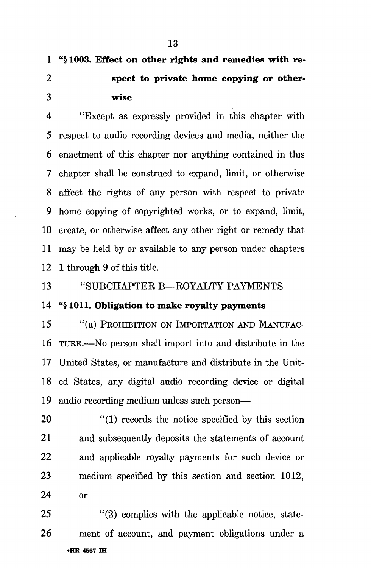**1 "§ 1003. Effect on other rights and remedies with re-2 spect to private home copying or other-3 wise** 

**4** "Except as expressly provided in this chapter with 5 respect to audio recording devices and media, neither the 6 enactment of this chapter nor anything contained in this 7 chapter shall be construed to expand, limit, or otherwise 8 affect the rights of any person with respect to private 9 home copying of copyrighted works, or to expand, limit, 10 create, or otherwise affect any other right or remedy that 11 may be held by or available to any person under chapters 12 1 through 9 of this title.

13 "SUBCHAPTER B—ROYALTY PAYMENTS

14 "§ **1011. Obligation to make royalty payments** 

15 "(a) PROHIBITION ON IMPORTATION AND MANUFAC-16 TURE.—No person shall import into and distribute in the 17 United States, or manufacture and distribute in the Unit-18 ed States, any digital audio recording device or digital 19 audio recording medium unless such person—

20 "(1) records the notice specified by this section 21 and subsequently deposits the statements of account 22 and applicable royally payments for such device or 23 medium specified by this section and section 1012, 24 or

25 "(2) complies with the applicable notice, state-26 ment of account, and payment obligations under a **•HR 4567 IH**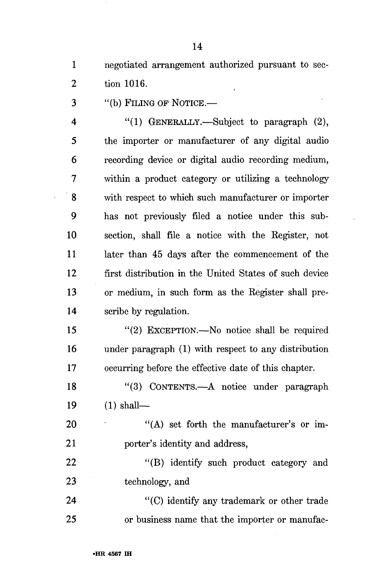1 negotiated arrangement authorized pursuant to sec-2 tion 1016.

3 "(b) FILING OF NOTICE.—

4 "(1) GENERALLY.—Subject to paragraph (2), 5 the importer or manufacturer of any digital audio 6 recording device or digital audio recording medium, 7 within a product category or utilizing a technology 8 with respect to which such manufacturer or importer 9 has not previously filed a notice under this sub-10 section, shall file a notice with the Register, not 11 later than 45 days after the commencement of the 12 first distribution in the United States of such device 13 or medium, in such form as the Register shall pre-14 scribe by regulation.

15 "(2) EXCEPTION.—No notice shall be required 16 under paragraph (1) with respect to any distribution 17 occurring before the effective date of this chapter.

18 "(3) CONTENTS.—A notice under paragraph 19 (1) shall—

20 "(A) set forth the manufacturer's or im-21 porter's identity and address,

22 "(B) identify such product category and 23 technology, and

24 "(C) identify any trademark or other trade 25 or business name that the importer or manufac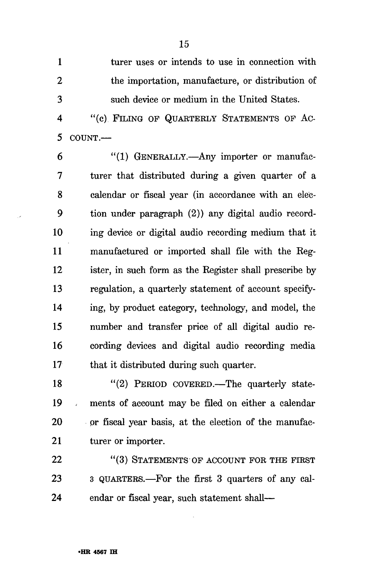1 turer uses or intends to use in connection with 2 the importation, manufacture, or distribution of 3 such device or medium in the United States.

4 "(c) FILING OF QUARTERLY STATEMENTS OF AC-5 COUNT.—

6 "(1) GENERALLY.—Any importer or manufac-7 turer that distributed during a given quarter of a 8 calendar or fiscal year (in accordance with an elec-9 tion under paragraph (2)) any digital audio record-10 ing device or digital audio recording medium that it 11 manufactured or imported shall file with the Reg-12 ister, in such form as the Register shall prescribe by 13 regulation, a quarterly statement of account specify-14 ing, by product category, technology, and model, the 15 number and transfer price of all digital audio re-16 cording devices and digital audio recording media 17 that it distributed during such quarter.

18 "(2) PERIOD COVERED.—The quarterly state-19 ments of account may be filed on either a calendar 20 or fiscal year basis, at the election of the manufac-21 turer or importer.

22 "(3) STATEMENTS OF ACCOUNT FOR THE FIRST 23 3 QUARTERS.—For the first 3 quarters of any cal-24 endar or fiscal year, such statement shall—

15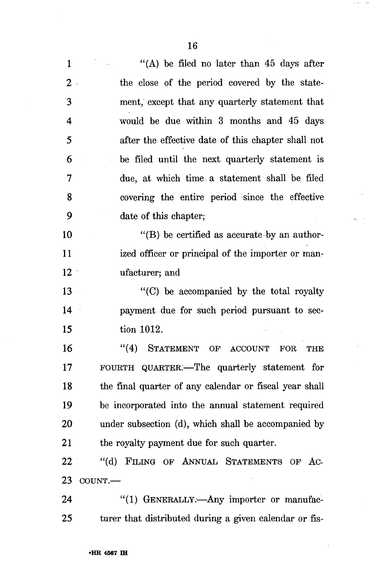1 "(A) be filed no later than 45 days after 2 the close of the period covered by the state-3 ment, except that any quarterly statement that 4 would be due within 3 months and 45 days 5 after the effective date of this chapter shall not 6 be filed until the next quarterly statement is 7 due, at which time. a statement shall be filed 8 covering the entire period since the effective 9 date of this chapter; 10 "(B) be certified as accurate by an author-11 ized officer or principal of the importer or man-12 ufacturer; and 13 "(C) be accompanied by the total royalty 14 payment due for such period pursuant to sec-15 tion 1012. 16 "(4) STATEMENT OF ACCOUNT FOR THE 17 FOURTH QUARTER.—The quarterly statement for 18 the final quarter of any calendar or fiscal year shall 19 be incorporated into the annual statement required 20 under subsection (d), which shall be accompanied by 21 the royalty payment due for such quarter. 22 "(d) FILING OF ANNUAL STATEMENTS OF AC-23 COUNT.—

24 "(1) GENERALLY.—Any importer or manufac-25 turer that distributed during a given calendar or fis-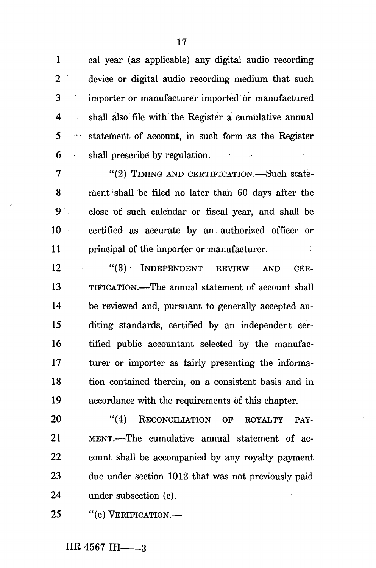1 cal year (as applicable) any digital audio recording 2 device or digital audio recording medium that such 3 importer or manufacturer imported or manufactured 4 shall also file with the Register a cumulative annual 5 : statement of account, in such form as the Register 6 shall prescribe by regulation.

7 "(2) TIMING AND CERTIFICATION.—Such state-8 ment shall be filed no later than 60 days after the 9 close of such calendar or fiscal year, and shall be 10 certified as accurate by an authorized officer or 11 principal of the importer or manufacturer.

12 "(3) INDEPENDENT REVIEW AND CER-13 TIFICATION.-—The annual statement of account shall 14 be reviewed and, pursuant to generally accepted au-15 diting standards, certified by an independent cer-16 tified public accountant selected by the manufac-17 turer or importer as fairly presenting the informa-18 tion contained therein, on a consistent basis and in 19 accordance with the requirements of this chapter.

20 "(4) RECONCILIATION OF ROYALTY PAY-21 MENT.—The cumulative annual statement of ac-22 count shall be accompanied by any royalty payment 23 due under section 1012 that was not previously paid 24 under subsection (c).

25 "(e) VERIFICATION.—

 $HR$  4567 IH  $-3$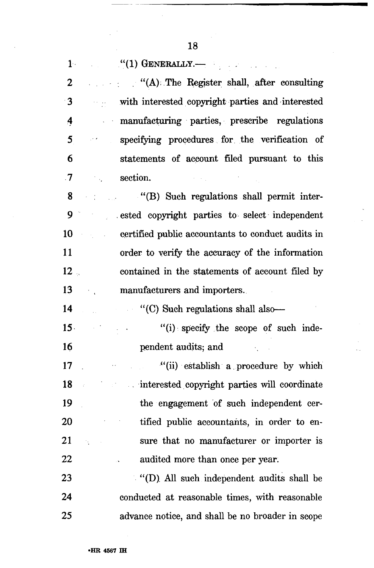وتبادينا

 $\sim$ 

q

 $\bar{\omega}$ 

| $1 -$           | $``(1)$ GENERALLY.—                                                                                                                                                                                                                                                                                                              |
|-----------------|----------------------------------------------------------------------------------------------------------------------------------------------------------------------------------------------------------------------------------------------------------------------------------------------------------------------------------|
| 2               | $\mathcal{L}(\mathbf{A})$ . The Register shall, after consulting                                                                                                                                                                                                                                                                 |
| $\cdot$ 3       | with interested copyright parties and interested                                                                                                                                                                                                                                                                                 |
| 4               | manufacturing parties, prescribe regulations                                                                                                                                                                                                                                                                                     |
| 5               | specifying procedures for the verification of<br>an n                                                                                                                                                                                                                                                                            |
| 6               | statements of account filed pursuant to this                                                                                                                                                                                                                                                                                     |
| $\cdot$         | section.<br>$\label{eq:2.1} \mathcal{L}(\mathcal{L}^{\mathcal{L}}_{\mathcal{L}}(\mathcal{L}^{\mathcal{L}}_{\mathcal{L}})) \leq \mathcal{L}(\mathcal{L}^{\mathcal{L}}_{\mathcal{L}}(\mathcal{L}^{\mathcal{L}}_{\mathcal{L}})) \leq \mathcal{L}(\mathcal{L}^{\mathcal{L}}_{\mathcal{L}}(\mathcal{L}^{\mathcal{L}}_{\mathcal{L}}))$ |
| 8               | "(B) Such regulations shall permit inter-                                                                                                                                                                                                                                                                                        |
| 9               | ested copyright parties to select independent                                                                                                                                                                                                                                                                                    |
| 10              | certified public accountants to conduct audits in                                                                                                                                                                                                                                                                                |
| 11              | order to verify the accuracy of the information                                                                                                                                                                                                                                                                                  |
| 12 <sub>1</sub> | contained in the statements of account filed by                                                                                                                                                                                                                                                                                  |
| 13              | manufacturers and importers.                                                                                                                                                                                                                                                                                                     |
| 14              | "(C) Such regulations shall also-                                                                                                                                                                                                                                                                                                |
| 15 <sup>2</sup> | "(i) specify the scope of such inde-                                                                                                                                                                                                                                                                                             |
| 16              | pendent audits; and                                                                                                                                                                                                                                                                                                              |
| 17              | "(ii) establish a procedure by which                                                                                                                                                                                                                                                                                             |
| 18              | interested copyright parties will coordinate                                                                                                                                                                                                                                                                                     |
| 19              | the engagement of such independent cer-                                                                                                                                                                                                                                                                                          |
| 20              | tified public accountants, in order to en-                                                                                                                                                                                                                                                                                       |
| 21              | sure that no manufacturer or importer is                                                                                                                                                                                                                                                                                         |
| 22              | audited more than once per year.                                                                                                                                                                                                                                                                                                 |
| 23              | "(D) All such independent audits shall be                                                                                                                                                                                                                                                                                        |
| 24              | conducted at reasonable times, with reasonable                                                                                                                                                                                                                                                                                   |
| 25              | advance notice, and shall be no broader in scope                                                                                                                                                                                                                                                                                 |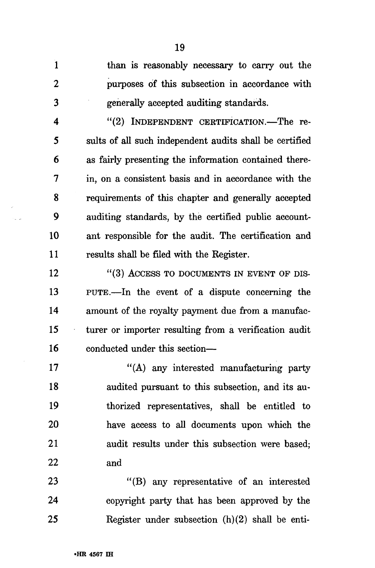1 than is reasonably necessary to carry out the 2 purposes of this subsection in accordance with 3 generally accepted auditing standards.

4 "(2) INDEPENDENT CERTIFICATION.—The re-5 suits of all such independent audits shall be certified 6 as fairly presenting the information contained there-7 in, on a consistent basis and in accordance with the 8 requirements of this chapter and generally accepted 9 auditing standards, by the certified public account-10 ant responsible for the audit. The certification and 11 results shall be filed with the Register.

12 "(3) ACCESS TO DOCUMENTS IN EVENT OF DIS-13 PUTE.—In the event of a dispute concerning the 14 amount of the royalty payment due from a manufac-15 turer or importer resulting from a verification audit 16 conducted under this section—

17 "(A) any interested manufacturing party 18 audited pursuant to this subsection, and its au-19 thorized representatives, shall be entitled to 20 have access to all documents upon which the 21 audit results under this subsection were based; 22 and

23 "(B) any representative of an interested 24 copyright party that has been approved by the 25 Register under subsection (h)(2) shall be enti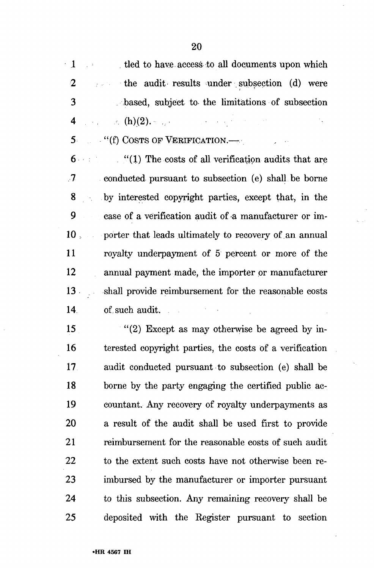1 tled to have access to all documents upon which 2 the audit results under subsection (d) were 3 based, subject to the limitations of subsection 4 . .-. (h).(2).- ....

 $5$   $\cdots$  "(f) COSTS OF VERIFICATION.—

 $6 \rightarrow$  "(1) The costs of all verification audits that are .7 conducted pursuant to subsection (e) shall be borne 8 by interested copyright parties, except that, in the 9 case of a verification audit of a manufacturer or im-10 , porter that leads ultimately to recovery of an annual 11 royalty underpayment of 5 percent or more of the 12 annual payment made, the importer or manufacturer 13 shall provide reimbursement for the reasonable costs 14 of such audit.  $\mathcal{L}_{\rm{max}}$ 

15  $\frac{15}{2}$  Except as may otherwise be agreed by in-16 terested copyright parties, the costs of a verification 17 audit conducted pursuant to subsection (e) shall be 18 borne by the party engaging the certified public ac-19 countant. Any recovery of royalty underpayments as 20 a result of the audit shall be used first to provide 21 reimbursement for the reasonable costs of such audit 22 to the extent such costs have not otherwise been re-23 imbursed by the manufacturer or importer pursuant 24 to this subsection. Any remaining recovery shall be 25 deposited with the Register pursuant to section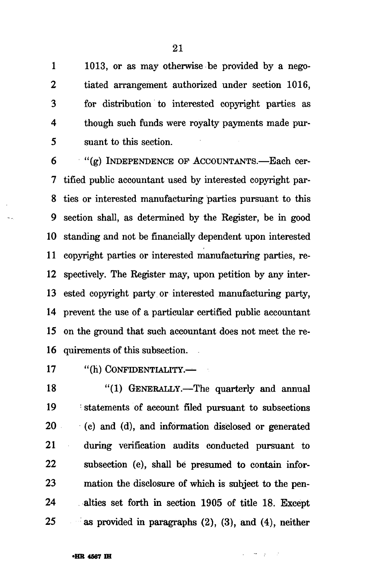1 1013, or as may otherwise be provided by a nego-2 tiated arrangement authorized under section 1016, 3 for distribution to interested copyright parties as 4 though such funds were royalty payments made pur-5 suant to this section.

6 "(g) INDEPENDENCE OP ACCOUNTANTS.—Each cer-7 tified public accountant used by interested copyright par-8 ties or interested manufacturing parties pursuant to this 9 section shall, as determined by the Register, be in good 10 standing and not be financially dependent upon interested 11 copyright parties or interested manufacturing parties, re-12 spectively. The Register may, upon petition by any inter-13 ested copyright party or interested manufacturing party, 14 prevent the use of a particular certified public accountant 15 on the ground that such accountant does not meet the re-16 quirements of this subsection.

17 "(h) CONFIDENTIALITY.

18 "(1) GENERALLY.—The quarterly and annual 19 statements of account filed pursuant to subsections 20 (c) and (d), and information disclosed or generated 21 during verification audits conducted pursuant to 22 subsection (e), shall be presumed to contain infor-23 mation the disclosure of which is subject to the pen-24 alties set forth in section 1905 of title 18. Except 25 as provided in paragraphs (2), (3), and (4), neither

 $\frac{1}{2} \frac{1}{2} \frac{1}{2} \frac{1}{2} \frac{1}{2} \frac{1}{2} \frac{1}{2} \frac{1}{2}$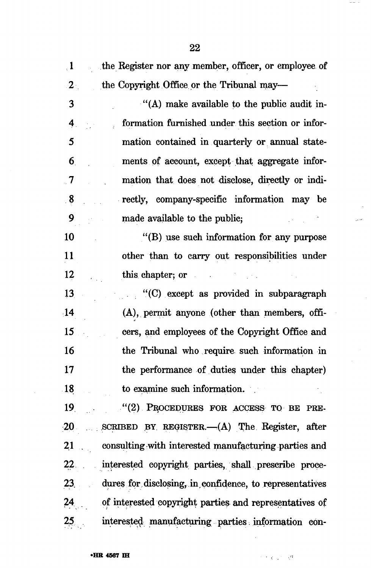| $\cdot$ 1        |                                                            |
|------------------|------------------------------------------------------------|
|                  | the Register nor any member, officer, or employee of       |
| $2^{\circ}$      | the Copyright Office or the Tribunal may—                  |
| 3                | "(A) make available to the public audit in-                |
| $\mathbf 4$      | formation furnished under this section or infor-           |
| 5                | mation contained in quarterly or annual state-             |
| $\boldsymbol{6}$ | ments of account, except that aggregate infor-             |
| $\sqrt{7}$       | mation that does not disclose, directly or indi-           |
| 8 <sub>1</sub>   | rectly, company-specific information may be                |
| 9                | made available to the public;                              |
| 10               | $\cdot$ (B) use such information for any purpose           |
| 11               | other than to carry out responsibilities under             |
| 12               | this chapter; or                                           |
| 13               | "(C) except as provided in subparagraph                    |
| $\overline{14}$  | (A), permit anyone (other than members, offi-              |
| 15               | cers, and employees of the Copyright Office and            |
| 16               | the Tribunal who require such information in               |
| 17               | the performance of duties under this chapter)              |
|                  | 18 to examine such information.                            |
|                  | 19 "(2) PROCEDURES FOR ACCESS TO BE PRE-                   |
|                  | 20 SCRIBED BY REGISTER. (A) The Register, after            |
|                  | 21 consulting with interested manufacturing parties and    |
|                  | 22 interested copyright parties, shall prescribe proce-    |
|                  | 23 dures for disclosing, in confidence, to representatives |
|                  | 24 of interested copyright parties and representatives of  |
|                  | 25 interested manufacturing parties information con-       |

 $\rightarrow$   $\rightarrow$ 

 $\ddot{\phantom{a}}$ الكاتي

 $\sim$ 

 $\sim 10^{-1}$ 

 $\bar{z}$ 

光光的 原

 $\overline{\phantom{a}}$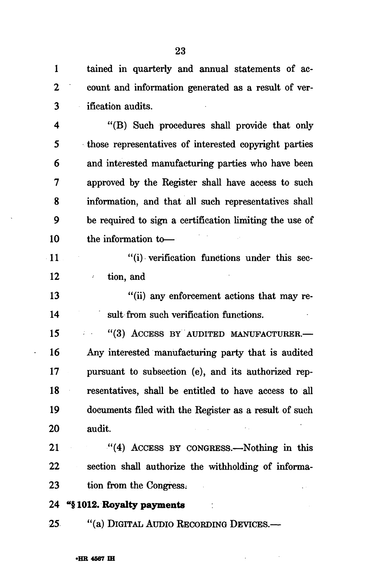1 tained in quarterly and annual statements of ac-2 count and information generated as a result of ver-3 ification audits.

4 "(B) Such procedures shall provide that only 5 those representatives of interested copyright parties 6 and interested manufacturing parties who have been 7 approved by the Register shall have access to such 8 information, and that all such representatives shall 9 be required to sign a certification limiting the use of 10 the information to—

11 "(i) verification functions under this sec-12 tion, and

13 "(ii) any enforcement actions that may re-14 suit from such verification functions.

15 "(3) ACCESS BY AUDITED MANUFACTURER.-16 Any interested manufacturing party that is audited 17 pursuant to subsection (e), and its authorized rep-18 resentatives, shall be entitled to have access to all 19 documents filed with the Register as a result of such 20 audit.

21 "(4) ACCESS BY CONGRESS.—Nothing in this 22 section shall authorize the withholding of informa-23 tion from the Congress:

**24** "§ **1012. Royalty payments** 

25 "(a) DIGITAL AUDIO RECORDING DEVICES.—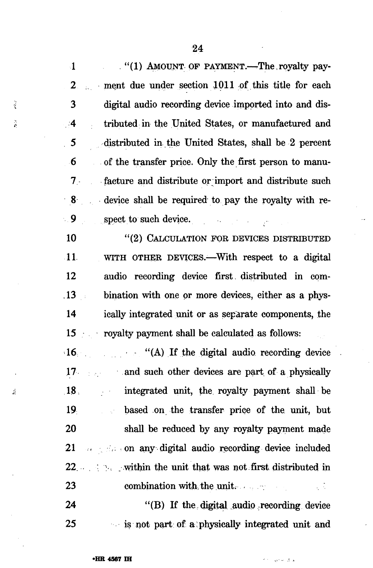$(1)$  AMOUNT OF PAYMENT. The royalty pay- $\mathbf{1}$ ment due under section 1011 of this title for each 2 3 digital audio recording device imported into and dis- $^{4}$ tributed in the United States, or manufactured and  $5<sub>5</sub>$ distributed in.the United States, shall be 2 percent 6 of the transfer price. Only the first person to manu- $7$ facture and distribute or import and distribute such device shall be required to pay the royalty with re- $\blacksquare$  9 spect to such device.  $\mathcal{L}^{\mathcal{L}}$  and  $\mathcal{L}^{\mathcal{L}}$  and  $\mathcal{L}^{\mathcal{L}}$  and  $\mathcal{L}^{\mathcal{L}}$ 

ž

Ř

 $\frac{1}{2}$ 

"(2) CALCULATION FOR DEVICES DISTRIBUTED 10 11. WITH OTHER DEVICES.—With respect to a digital 12 audio recording device first, distributed in com- $.13$ bination with one or more devices, either as a phys- $\sim$  : 14 ically integrated unit or as separate components, the royalty payment shall be calculated as follows: 15

"(A) If the digital audio recording device  $\cdot 16$ and such other devices are part of a physically  $17<sub>1</sub>$ integrated unit, the royalty payment shall be  $18<sup>1</sup>$ based on the transfer price of the unit, but 19 20 shall be reduced by any royalty payment made 21 .; .on any digital audio recording device included 22. A set of the within the unit that was not first distributed in 23 combination with the unit.  $\sqrt{2}$ 

24 " $(B)$  If the digital audio recording device 25 is not part of a physically integrated unit and

والأراب والمور

24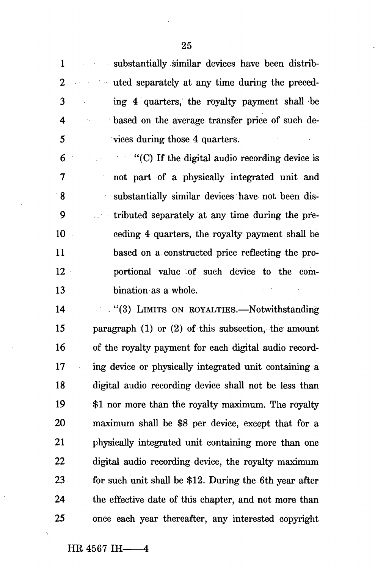1 substantially similar devices have been distrib-2 uted separately at any time during the preced-3 ing 4 quarters, the royalty payment shall be 4 based on the average transfer price of such de-5 vices during those 4 quarters. 6 "(C) If the digital audio recording device is 7 not part of a physically integrated unit and 8 substantially similar devices have not been dis-9 >. • • tributed separately at any time during the pre-10 ceding 4 quarters, the royally payment shall be 11 based on a constructed price reflecting the pro-12 portional value of such device to the com-13 bination as a whole.

14 ."(3) LIMITS ON ROYALTIES.—Notwithstanding 15 paragraph (1) or (2) of this subsection, the amount 16 of the royalty payment for each digital audio record-17 ing device or physically integrated unit containing a 18 digital audio recording device shall not be less than 19 \$1 nor more than the royalty maximum. The royalty 20 maximum shall be \$8 per device, except that for a 21 physically integrated unit containing more than one 22 digital audio recording device, the royalty maximum 23 for such unit shall be \$12. During the 6th year after 24 the effective date of this chapter, and not more than 25 once each year thereafter, any interested copyright

 $\ddot{\phantom{a}}$ 

25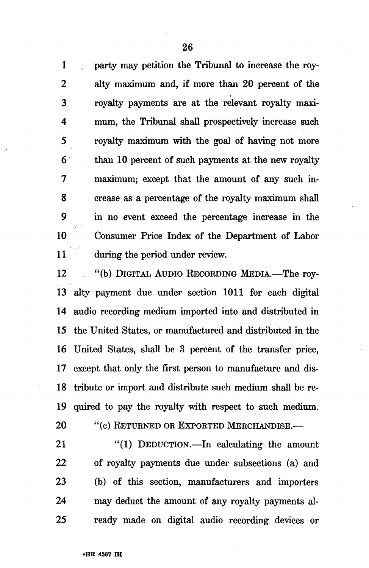1 party may petition the Tribunal to increase the roy-2 alty maximum and, if more than 20 percent of the 3 royalty payments are at the relevant royalty maxi-4 mum, the Tribunal shall prospectively increase such 5 royalty maximum with the goal of having not more 6 than 10 percent of such payments at the new royalty 7 maximum; except that the amount of any such in-8 crease as a percentage of the royalty maximum shall 9 in no event exceed the percentage increase in the 10 Consumer Price Index of the Department of Labor 11 during the period under review.

12 "(b) DIGITAL AUDIO RECORDING MEDIA.—The roy-13 alty payment due under section 1011 for each digital 14 audio recording medium imported into and distributed in 15 the United States, or manufactured and distributed in the 16 United States, shall be 3 percent of the transfer price, 17 except that only the first person to manufacture and dis-18 tribute or import and distribute such medium shall be re-19 quired to pay the royalty with respect to such medium.

20 "(c) RETURNED OR EXPORTED MERCHANDISE.—

21 "(1) DEDUCTION.—In calculating the amount 22 of royalty payments due under subsections (a) and 23 (b) of this section, manufacturers and importers 24 may deduct the amount of any royalty payments al-25 ready made on digital audio recording devices or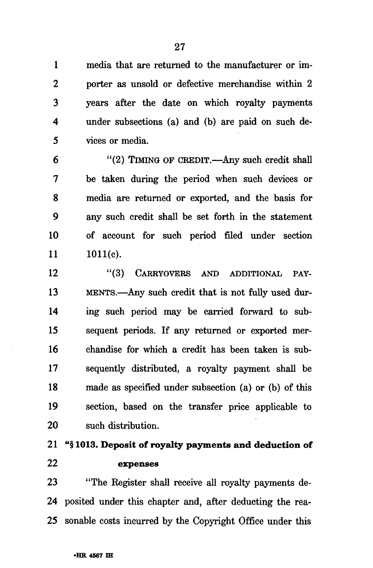1 media that are returned to the manufacturer or im-2 porter as unsold or defective merchandise within 2 3 years after the date on which royalty payments 4 under subsections (a) and (b) are paid on such de-5 vices or media.

6 "(2) TIMING OF CREDIT.—Any such credit shall 7 be taken during the period when such devices or 8 media are returned or exported, and the basis for 9 any such credit shall be set forth in the statement 10 of account for such period filed under section  $11 \qquad 1011(e).$ 

12 "(3) CARRYOVERS AND ADDITIONAL PAY-13 MENTS.—Any such credit that is not fully used dur-14 ing such period may be carried forward to sub-15 sequent periods. If any returned or exported mer-16 chandise for which a credit has been taken is sub-17 sequently distributed, a royalty payment shall be 18 made as specified under subsection (a) or (b) of this 19 section, based on the transfer price applicable to 20 such distribution.

# 21 "§ 1013. Deposit of royalty payments and deduction of 22 expenses

23 "The Register shall receive all royalty payments de-24 posited under this chapter and, after deducting the rea-25 sonable costs incurred by the Copyright Office under this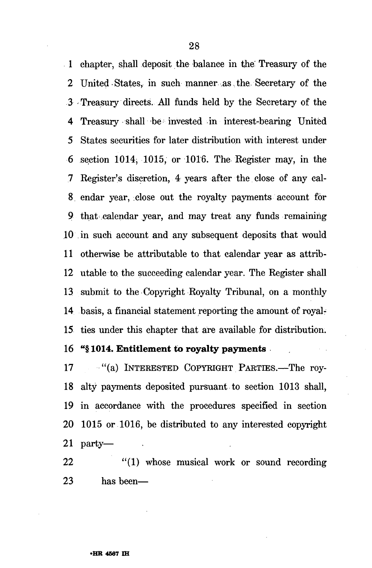1 chapter, shall deposit the balance in the: Treasury of the 2 United States, in such manner as the Secretary of the 3 Treasury directs. All funds held by the Secretary of the 4 Treasury shall be invested in interest-bearing United 5 States securities for later distribution with interest under 6 section 1014, 1015, or 1016. The Register may, in the 7 Register's discretion, 4 years after the close of any cal-8 endar year, close out the royalty payments account for 9 that calendar year, and may treat any funds remaining 10 in such account and any subsequent deposits that would 11 otherwise be attributable to that calendar year as attrib-12 utable to the succeeding calendar year. The Register shall 13 submit to the Copyright Royalty Tribunal, on a monthly 14 basis, a financial statement reporting the amount of royal-15 ties under this chapter that are available for distribution.

## 16 "§ 1014. Entitlement to royalty payments

17 - "(a) INTERESTED COPYRIGHT PARTIES.—The roy-18 alty payments deposited pursuant to section 1013 shall, 19 in accordance with the procedures specified in section 20 1015 or 1016, be distributed to any interested copyright 21 party—

22 "(1) whose musical work or sound recording 23 has been—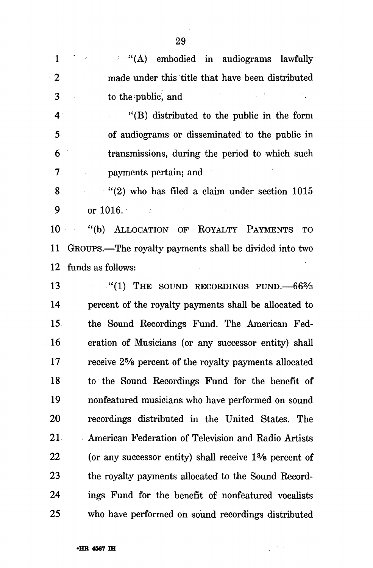| $\mathbf{1}$    | (A) embodied in audiograms lawfully                       |
|-----------------|-----------------------------------------------------------|
| $\mathbf{2}$    | made under this title that have been distributed          |
| 3               | to the public, and                                        |
| 4 <sup>1</sup>  | "(B) distributed to the public in the form                |
| 5               | of audiograms or disseminated to the public in            |
| 6               | transmissions, during the period to which such            |
| 7               | payments pertain; and                                     |
| 8               | $''(2)$ who has filed a claim under section 1015          |
| 9               | or $1016.$                                                |
| 10              | ALLOCATION OF ROYALTY PAYMENTS<br>$\lq( b )$<br><b>TO</b> |
| 11              | GROUPS.-The royalty payments shall be divided into two    |
| 12              | funds as follows:                                         |
| 13 <sup>°</sup> | $(1)$ THE SOUND RECORDINGS FUND. $-66\frac{2}{3}$         |
| 14              | percent of the royalty payments shall be allocated to     |
| 15 <sub>1</sub> | the Sound Recordings Fund. The American Fed-              |
| 16              | eration of Musicians (or any successor entity) shall      |
| 17              | receive 25% percent of the royalty payments allocated     |
| 18              | to the Sound Recordings Fund for the benefit of           |
| 19              | nonfeatured musicians who have performed on sound         |
| 20              | recordings distributed in the United States. The          |
| 21.             | American Federation of Television and Radio Artists       |
| 22              | (or any successor entity) shall receive 1% percent of     |
| 23              | the royalty payments allocated to the Sound Record-       |
| 24              | ings Fund for the benefit of nonfeatured vocalists        |
| 25              | who have performed on sound recordings distributed        |

 $\bar{z}$ 

 $\frac{1}{2} \sum_{i=1}^n \frac{1}{2} \sum_{j=1}^n \frac{1}{2} \sum_{j=1}^n \frac{1}{2} \sum_{j=1}^n \frac{1}{2} \sum_{j=1}^n \frac{1}{2} \sum_{j=1}^n \frac{1}{2} \sum_{j=1}^n \frac{1}{2} \sum_{j=1}^n \frac{1}{2} \sum_{j=1}^n \frac{1}{2} \sum_{j=1}^n \frac{1}{2} \sum_{j=1}^n \frac{1}{2} \sum_{j=1}^n \frac{1}{2} \sum_{j=1}^n \frac{1}{2} \sum_{j=$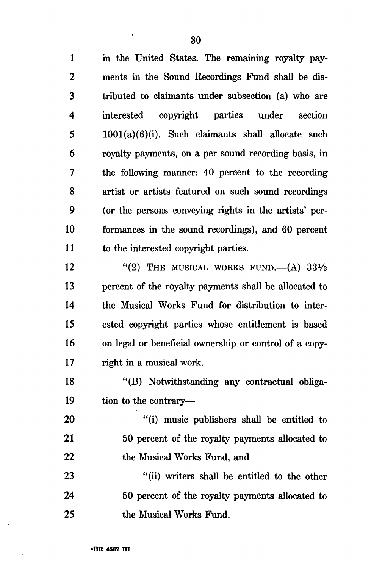1 in the United States. The remaining royalty pay-2 ments in the Sound Recordings Fund shall be dis-3 tributed to claimants under subsection (a) who are 4 interested copyright parties under section 5 1001(a)(6)(i). Such claimants shall allocate such 6 royalty payments, on a per sound recording basis, in 7 the following manner: 40 percent to the recording 8 artist or artists featured on such sound recordings 9 (or the persons conveying rights in the artists' per-10 formances in the sound recordings), and 60 percent 11 to the interested copyright parties.

12  $(2)$  THE MUSICAL WORKS FUND.  $(A)$  33<sup>1</sup>/<sub>3</sub> 13 percent of the royalty payments shall be allocated to 14 the Musical Works Fund for distribution to inter-15 ested copyright parties whose entitlement is based 16 on legal or beneficial ownership or control of a copy-17 right in a musical work.

18 "(B) Notwithstanding any contractual obliga-19 tion to the contrary—

20 "(i) music publishers shall be entitled to 21 50 percent of the royalty payments allocated to 22 the Musical Works Fund, and

23 "(ii) writers shall be entitled to the other 24 50 percent of the royalty payments allocated to 25 the Musical Works Fund.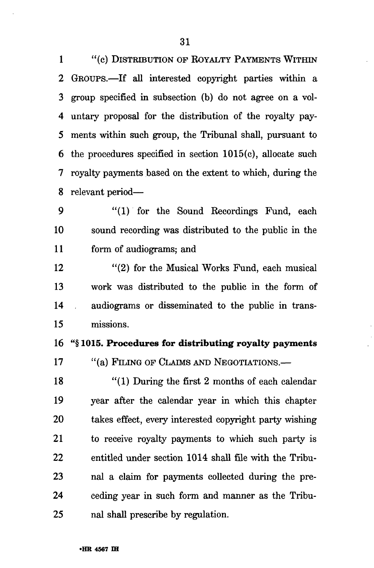1 "(c) DISTRIBUTION OF ROYALTY PAYMENTS WITHIN 2 GROUPS.—If all interested copyright parties within a 3 group specified in subsection (b) do not agree on a vol-4 untary proposal for the distribution of the royalty pay-5 ments within such group, the Tribunal shall, pursuant to 6 the procedures specified in section 1015(c), allocate such 7 royalty payments based on the extent to which, during the 8 relevant period—

9 "(1) for the Sound Recordings Fund, each 10 sound recording was distributed to the public in the 11 form of audiograms; and

12 "(2) for the Musical Works Fund, each musical 13 work was distributed to the public in the form of 14 audiograms or disseminated to the public in trans-15 missions.

16 "§ 1015. Procedures for distributing royalty payments

17 "(a) FILING OF CLAIMS AND NEGOTIATIONS.—

18 "(1) During the first 2 months of each calendar 19 year after the calendar year in which this chapter 20 takes effect, every interested copyright party wishing 21 to receive royalty payments to which such party is 22 entitled under section 1014 shall file with the Tribu-23 nal a claim for payments collected during the pre-24 ceding year in such form and manner as the Tribu-25 nal shall prescribe by regulation.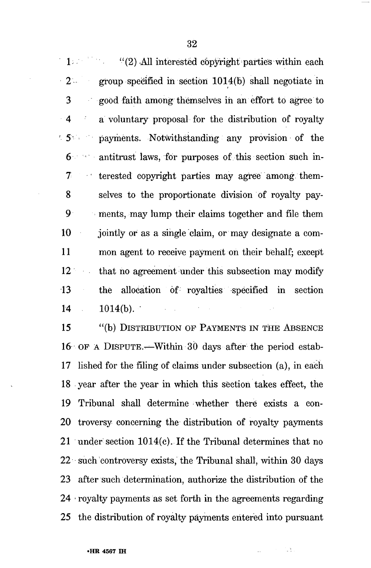$1$  (2) All interested copyright parties within each 2 group specified in section 1014(b) shall negotiate in 3 good faith among themselves in an effort to agree to 4 a voluntary proposal for the distribution of royalty ' 5 " payments. Notwithstanding any provision of the 6 antitrust laws, for purposes of this section such in-7 ' terested copyright parties may agree among, them-8 selves to the proportionate division of royalty pay-9 ments, may lump their claims together and file them 10 jointly or as a single claim, or may designate a com-11 mon agent to receive payment on their behalf; except 12 that no agreement under this subsection may modify 13 the allocation of royalties specified in section  $14 \t1014(b).$ 

15 "(b) DISTRIBUTION OF PAYMENTS IN THE ABSENCE 16 OF A DISPUTE.—Within 30 days after the period estab-17 lished for the filing of claims under subsection (a), in each 18 year after the year in which this section takes effect, the 19 Tribunal shall determine whether there exists a con-20 troversy concerning the distribution of royalty payments 21 under section 1014(c). If the Tribunal determines that no 22 such controversy exists, the Tribunal shall, within 30 days 23 after such determination, authorize the distribution of the 24 • royalty payments as set forth in the agreements regarding 25 the distribution of royalty payments entered into pursuant

ЦŅ.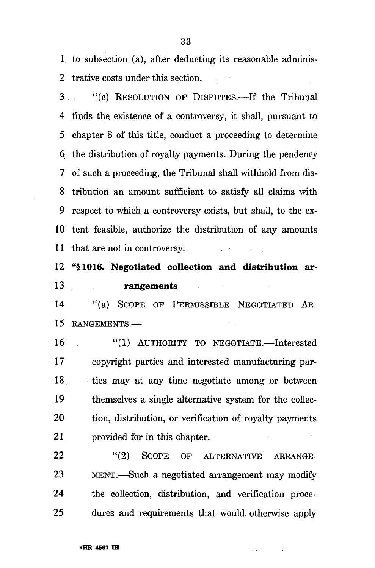1, to subsection (a), after deducting its reasonable adminis-2 trative costs under this section.

3 "(c) RESOLUTION OF DISPUTES.—If the Tribunal 4 finds the existence of a controversy, it shall, pursuant to 5 chapter 8 of this title, conduct a proceeding to determine 6 the distribution of royalty payments. During the pendency 7 of such a proceeding, the Tribunal shall withhold from dis-8 tribution an amount sufficient to satisfy all claims with 9 respect to which a controversy exists, but shall, to the ex-10 tent feasible, authorize the distribution of any amounts 11 that are not in controversy.

12 "§1016. Negotiated collection and distribution ar-13 rangements

14 "(a) SCOPE OF PERMISSIBLE NEGOTIATED AR-15 RANGEMENTS.—

16 "(1) AUTHORITY TO NEGOTIATE.—Interested 17 copyright parties and interested manufacturing par-18. ties may at any time negotiate among or between 19 themselves a single alternative system for the collec-20 tion, distribution, or verification of royalty payments 21 provided for in this chapter.

22 "(2) SCOPE OF ALTERNATIVE ARRANGE-23 MENT.—Such a negotiated arrangement may modify 24 the collection, distribution, and verification proce-25 dures and requirements that would otherwise apply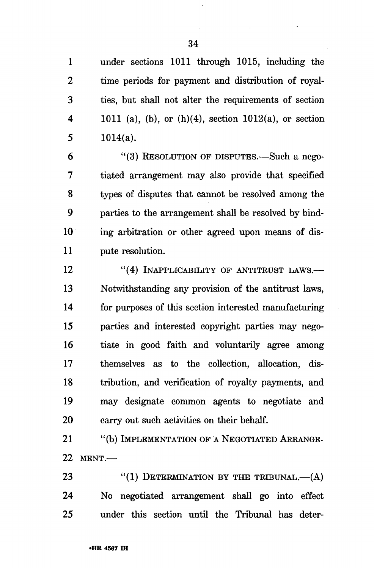1 under sections 1011 through 1015, including the 2 time periods for payment and distribution of royal-3 ties, but shall not alter the requirements of section 4 1011 (a), (b), or (h)(4), section 1012(a), or section 5  $1014(a)$ .

6 "(3) RESOLUTION OF DISPUTES.—Such a nego-7 tiated arrangement may also provide that specified 8 types of disputes that cannot be resolved among the 9 parties to the arrangement shall be resolved by bind-10 ing arbitration or other agreed upon means of dis-11 pute resolution.

12 "(4) INAPPLICABILITY OF ANTITRUST LAWS.— 13 Notwithstanding any provision of the antitrust laws, 14 for purposes of this section interested manufacturing 15 parties and interested copyright parties may nego-16 tiate in good faith and voluntarily agree among 17 themselves as to the collection, allocation, dis-18 tribution, and verification of royalty payments, and 19 may designate common agents to negotiate and 20 carry out such activities on their behalf.

21 "(b) IMPLEMENTATION OF A NEGOTIATED ARRANGE-22 MENT.—

23  $(1)$  DETERMINATION BY THE TRIBUNAL.— $(A)$ 24 No negotiated arrangement shall go into effect 25 under this section until the Tribunal has deter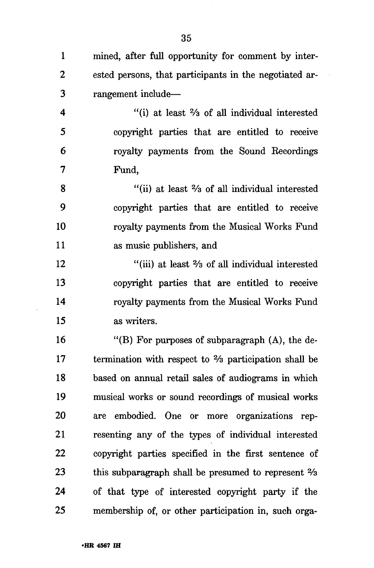35

1 mined, after full opportunity for comment by inter-

2 ested persons, that participants in the negotiated ar-3 rangement include— 4 "(i) at least % of all individual interested 5 copyright parties that are entitled to receive 6 royalty payments from the Sound Recordings 7 Fund, 8 "(ii) at least % of all individual interested 9 copyright parties that are entitled to receive 10 royalty payments from the Musical Works Fund 11 as music publishers, and 12 "(iii) at least  $\frac{2}{3}$  of all individual interested 13 copyright parties that are entitled to receive 14 royalty payments from the Musical Works Fund 15 as writers. 16 "(B) For purposes of subparagraph (A), the de-17 termination with respect to  $\frac{2}{3}$  participation shall be 18 based on annual retail sales of audiograms in which 19 musical works or sound recordings of musical works 20 are embodied. One or more organizations rep-21 resenting any of the types of individual interested 22 copyright parties specified in the first sentence of 23 this subparagraph shall be presumed to represent  $\frac{2}{3}$ 24 of that type of interested copyright party if the 25 membership of, or other participation in, such orga-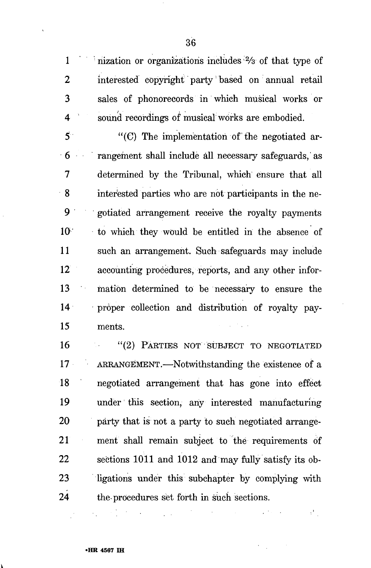1 inization or organizations includes  $\frac{2}{3}$  of that type of 2 interested copyright party based on annual retail 3 sales of phonorecords in which musical works or 4 ' sound recordings of musical works are embodied.

 $5$  "(C) The implementation of the negotiated ar-6 rangement shall include all necessary safeguards, as 7 determined by the Tribunal, which ensure that all 8 interested parties who are not participants in the ne-9 gotiated arrangement receive the royalty payments 10-" to which they would be entitled in the absence of 11 such an arrangement. Such safeguards may include 12 accounting procedures, reports, and any other infor-13 mation determined to be necessary to ensure the 14 proper collection and distribution of royalty pay-15 ments.

16 "(2) PARTIES NOT SUBJECT TO NEGOTIATED 17 ARRANGEMENT.—Notwithstanding the existence of a 18 negotiated arrangement that has gone into effect 19 under this section, any interested manufacturing 20 party that is not a party to such negotiated arrange-21 ment shall remain subject to the requirements of 22 sections 1011 and 1012 and may fully satisfy its ob-23 ligations under this subchapter by complying with 24 the-procedures set forth in such sections.

 $\cdot$  i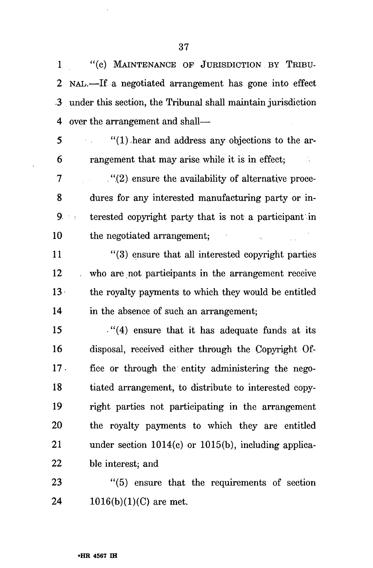1 "(c) MAINTENANCE OF JURISDICTION BY TRIBU-2 NAL.—If a negotiated arrangement has gone into effect 3 under this section, the Tribunal shall maintain jurisdiction 4 over the arrangement and shall—

5 "(l).hear and address any objections to the ar-6 rangement that may arise while it is in effect;  $\sim 10^6$ 

7 . . , ".(2) ensure the availability of alternative proce-8 dures for any interested manufacturing party or in- $9 \rightarrow$  terested copyright party that is not a participant in 10 the negotiated arrangement;

11 "(3) ensure that all interested copyright parties 12 . who are not participants in the arrangement receive 13 • the royalty payments to which they would be entitled 14 in the absence of such an arrangement;

15  $(4)$  ensure that it has adequate funds at its 16 disposal, received either through the Copyright Of-17 • fice or through the entity administering the nego-18 tiated arrangement, to distribute to interested copy-19 right parties not participating in the arrangement 20 the royalty payments to which they are entitled 21 under section 1014(c) or 1015(b), including applica-22 ble interest; and

23 "(5) ensure that the requirements of section 24  $1016(b)(1)(C)$  are met.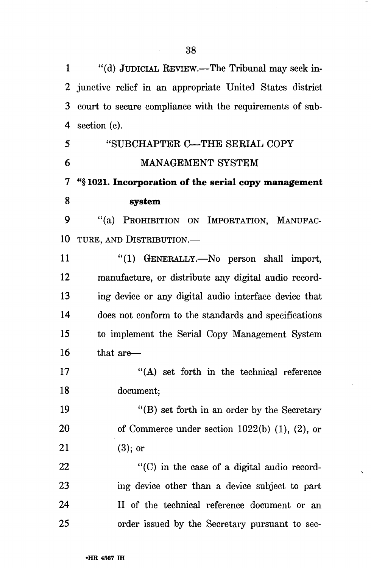1 "(d) JUDICIAL REVIEW.—The Tribunal may seek in-2 junctive relief in an appropriate United States district 3 court to secure compliance with the requirements of sub-4 section (c). 5 "SUBCHAPTER C—THE SERIAL COPY 6 MANAGEMENT SYSTEM 7 "§ **1021. Incorporation of the serial copy management 8 system**  9 "(a) PROHIBITION ON IMPORTATION, MANUFAC-10 TURE, AND DISTRIBUTION.— 11 "(1) GENERALLY.—No person shall import, 12 manufacture, or distribute any digital audio record-13 ing device or any digital audio interface device that 14 does not conform to the standards and specifications 15 to implement the Serial Copy Management System 16 that are— 17 "(A) set forth in the technical reference 18 document; 19 "(B) set forth in an order by the Secretary 20 of Commerce under section 1022(b) (1), (2), or 21 (3); or  $22$  "(C) in the case of a digital audio record-23 ing device other than a device subject to part 24 II of the technical reference document or an

25 order issued by the Secretary pursuant to sec-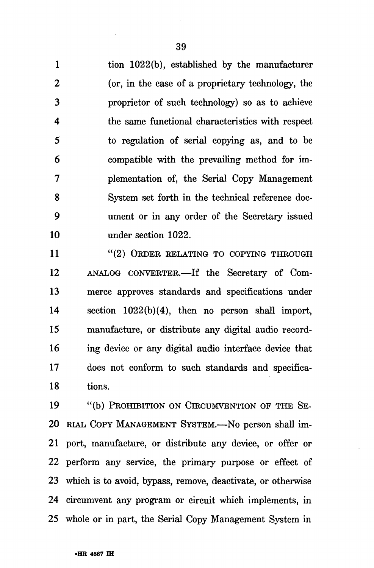1 tion 1022(b), established by the manufacturer 2 (or, in the case of a proprietary technology, the 3 proprietor of such technology) so as to achieve 4 the same functional characteristics with respect 5 to regulation of serial copying as, and to be 6 compatible with the prevailing method for im-7 plementation of, the Serial Copy Management 8 System set forth in the technical reference doc-9 ument or in any order of the Secretary issued 10 under section 1022.

11 "(2) ORDER RELATING TO COPYING THROUGH 12 ANALOG CONVERTER.—If the Secretary of Com-13 merce approves standards and specifications under 14 section 1022(b)(4), then no person shall import, 15 manufacture, or distribute any digital audio record-16 ing device or any digital audio interface device that 17 does not conform to such standards and specifica-18 tions.

19 "(b) PROHIBITION ON CIRCUMVENTION OF THE SE-20 RIAL COPY MANAGEMENT SYSTEM.—No person shall im-21 port, manufacture, or distribute any device, or offer or 22 perform any service, the primary purpose or effect of 23 which is to avoid, bypass, remove, deactivate, or otherwise 24 circumvent any program or circuit which implements, in 25 whole or in part, the Serial Copy Management System in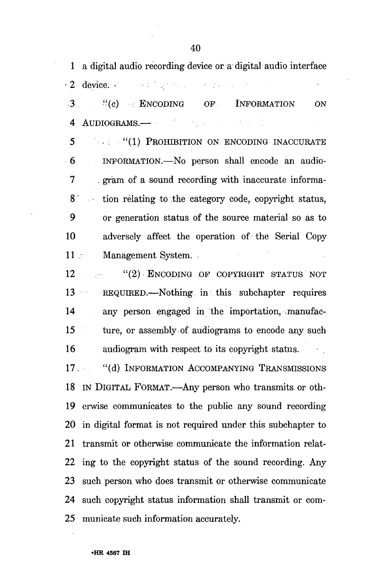1 a digital audio recording device or a digital audio interface • 2 device. >' 3. "(c) ENCODING OF INFORMATION ON 4 AUDIOGRAMS.— ' •. • 5 ••• •• "(1) PROHIBITION ON ENCODING INACCURATE 6 INFORMATION.—No person shall encode an audio-7 . gram of a sound recording with inaccurate informa-8' tion relating to the category code, copyright status, 9 or generation status of the source material so as to 10 adversely affect the operation of the Serial Copy 11 .: Management System.

12 " (2) ENCODING OF COPYRIGHT STATUS NOT 13 REQUIRED.—Nothing in this subchapter requires 14 any person engaged in the importation, manufac-15 ture, or assembly of audiograms to encode any such 16 audiogram with respect to its copyright status.

17. "(d) INFORMATION ACCOMPANYING TRANSMISSIONS 18 IN DIGITAL FORMAT.—Any person who transmits or oth-19 erwise communicates to the public any sound recording 20 in digital format is not required under this subchapter to 21 transmit or otherwise communicate the information relat-22 ing to the copyright status of the sound recording. Any 23 such person who does transmit or otherwise communicate 24 such copyright status information shall transmit or com-25 municate such information accurately.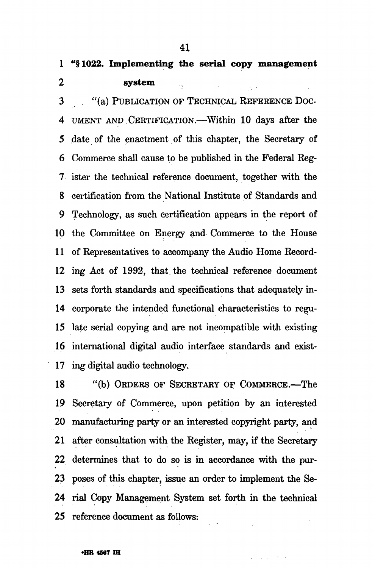# **1 "§1022. Implementing the serial copy management 2 system**

3 . "(a) PUBLICATION OF TECHNICAL REFERENCE DOC-4 UMENT AND CERTIFICATION.—Within 10 days after the 5 date of the enactment of this chapter, the Secretary of 6 Commerce shall cause to be published in the Federal Reg-7 ister the technical reference document, together with the 8 certification from the National Institute of Standards and 9 Technology, as such certification appears in the report of 10 the Committee on Energy and Commerce to the House 11 of Representatives to accompany the Audio Home Record-12 ing Act of 1992, that, the technical reference document 13 sets forth standards and specifications that adequately in-14 corporate the intended functional characteristics to regu-15 late serial copying and are not incompatible with existing 16 international digital audio interface standards and exist-17 ing digital audio technology.

18 "(b) ORDERS OF SECRETARY OF COMMERCE.—The 19 Secretary of Commerce, upon petition by an interested 20 manufacturing party or an interested copyright party, and 21 after consultation with the Register, may, if the Secretary 22 determines that to do so is in accordance with the pur-23 poses of this chapter, issue an order to implement the Se-24 rial Copy Management System set forth in the technical 25 reference document as follows: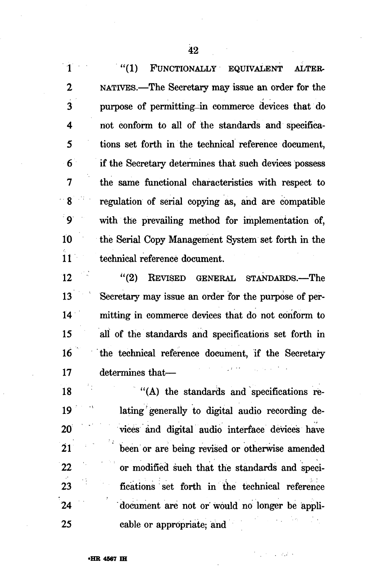|                         | "(1)<br>FUNCTIONALLY EQUIVALENT<br>ALTER-                 |
|-------------------------|-----------------------------------------------------------|
| $\mathbf 2$             | NATIVES.—The Secretary may issue an order for the         |
| $\overline{\mathbf{3}}$ | purpose of permitting in commerce devices that do         |
| 4                       | not conform to all of the standards and specifica-        |
| 5                       | tions set forth in the technical reference document,      |
| 6                       | if the Secretary determines that such devices possess     |
| $\overline{7}$          | the same functional characteristics with respect to       |
| 8                       | regulation of serial copying as, and are compatible       |
| $\frac{1}{2}$           | with the prevailing method for implementation of,         |
| 10                      | the Serial Copy Management System set forth in the        |
| $\frac{1}{11}$          | technical reference document.                             |
| 12                      | (2)<br><b>REVISED</b><br><b>GENERAL</b><br>STANDARDS.-The |
| 13                      | Secretary may issue an order for the purpose of per-      |
| 14                      | mitting in commerce devices that do not conform to        |
| 15                      | all of the standards and specifications set forth in      |
| 16                      | the technical reference document, if the Secretary        |
| 17                      | determines that-                                          |
| 18                      | "(A) the standards and specifications re-                 |
| 19                      | lating generally to digital audio recording de-           |
| <b>20</b>               | vices and digital audio interface devices have            |
| $\overline{21}$         | been or are being revised or otherwise amended            |
| 22                      | or modified such that the standards and speci-            |
| 23                      | fications set forth in the technical reference            |
| $\frac{1}{2}$           | document are not or would no longer be appli-             |
| 25                      | cable or appropriate; and                                 |

 $\mathcal{F}_{\rm eff}$  is a part of

J.

 $\ddot{\phantom{0}}$ 

 $\bar{z}$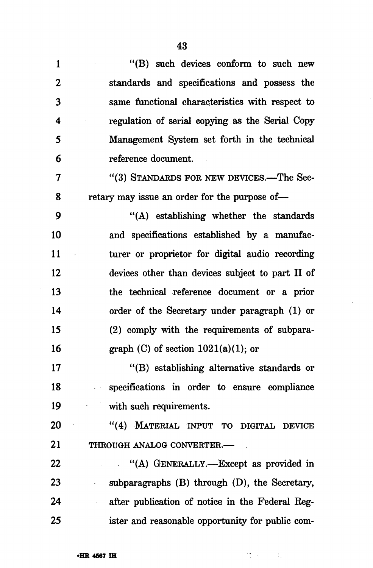| 1               | "(B) such devices conform to such new                                                                                                         |
|-----------------|-----------------------------------------------------------------------------------------------------------------------------------------------|
| 2               | standards and specifications and possess the                                                                                                  |
| 3               | same functional characteristics with respect to                                                                                               |
| 4               | regulation of serial copying as the Serial Copy                                                                                               |
| 5               | Management System set forth in the technical                                                                                                  |
| 6               | reference document.                                                                                                                           |
| 7               | "(3) STANDARDS FOR NEW DEVICES.—The Sec-                                                                                                      |
| 8               | retary may issue an order for the purpose of-                                                                                                 |
| 9               | "(A) establishing whether the standards                                                                                                       |
| 10              | and specifications established by a manufac-                                                                                                  |
| 11              | turer or proprietor for digital audio recording                                                                                               |
| 12              | devices other than devices subject to part II of                                                                                              |
| 13              | the technical reference document or a prior                                                                                                   |
| 14              | order of the Secretary under paragraph (1) or                                                                                                 |
| 15              | (2) comply with the requirements of subpara-                                                                                                  |
| 16              | graph (C) of section $1021(a)(1)$ ; or                                                                                                        |
| 17              | "(B) establishing alternative standards or                                                                                                    |
| 18              | specifications in order to ensure compliance                                                                                                  |
| 19              | with such requirements.                                                                                                                       |
| 20              | "(4) MATERIAL INPUT TO DIGITAL DEVICE                                                                                                         |
| 21              | THROUGH ANALOG CONVERTER.-                                                                                                                    |
| 22              | "(A) GENERALLY.—Except as provided in                                                                                                         |
| 23              | subparagraphs $(B)$ through $(D)$ , the Secretary,                                                                                            |
| 24              | after publication of notice in the Federal Reg-                                                                                               |
| 25 <sub>2</sub> | ister and reasonable opportunity for public com-<br>$\mathcal{L}^{\mathcal{L}}(\mathcal{A})$ , $\mathcal{L}^{\mathcal{L}}(\mathcal{A})$ , and |

 $\sim 10^{-1}$ 

 $\mathcal{M} \times \mathcal{M}$  .

 $\bar{\beta}$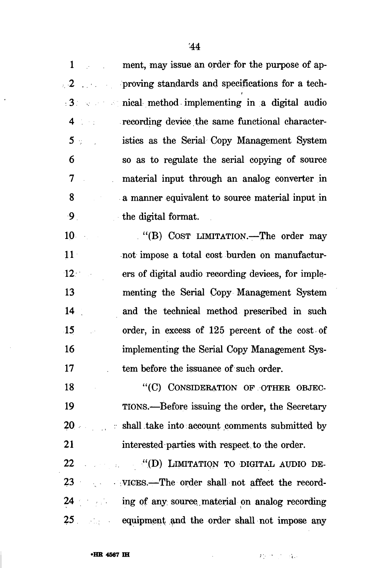$\mathbf{1}$ ment, may issue an order for the purpose of ap- $\sim 10^{11}$  and  $\sim 10^{11}$ proving standards and specifications for a tech- $\sim$  2 and 2 and 2  $\sim$ nical method implementing in a digital audio recording device the same functional character- $4 \pm 1$ istics as the Serial Copy Management System  $5 -$ 6 so as to regulate the serial copying of source  $\overline{\mathbf{7}}$ material input through an analog converter in 8 a manner equivalent to source material input in . و. the digital format.

"(B) COST LIMITATION.—The order may  $10<sup>1</sup>$  $11$ not impose a total cost burden on manufactur- $12$ ers of digital audio recording devices, for implementing the Serial Copy Management System 13  $14$ and the technical method prescribed in such 15 order, in excess of 125 percent of the cost of 16 implementing the Serial Copy Management Sys-17 tem before the issuance of such order.

18 "(C) CONSIDERATION OF OTHER OBJEC- $\mathcal{A}$ TIONS.—Before issuing the order, the Secretary 19 shall take into account comments submitted by  $20<sup>1</sup>$ 21 interested parties with respect to the order.

22 •".(D) LIMITATION TO DIGITAL AUDIO DE-VICES.—The order shall not affect the record-23 ing of any source,material on analog recording 25 equipment and the order shall not impose any

 $\label{eq:2.1} \sum_{i=1}^n \sum_{i=1}^n \frac{1}{n_i} \sum_{i=1}^n \frac{1}{n_i} \sum_{i=1}^n \frac{1}{n_i} \sum_{i=1}^n \frac{1}{n_i} \sum_{i=1}^n \frac{1}{n_i} \sum_{i=1}^n \frac{1}{n_i} \sum_{i=1}^n \frac{1}{n_i} \sum_{i=1}^n \frac{1}{n_i} \sum_{i=1}^n \frac{1}{n_i} \sum_{i=1}^n \frac{1}{n_i} \sum_{i=1}^n \frac{1}{n_i} \sum_{i=1}^n \frac{1}{n$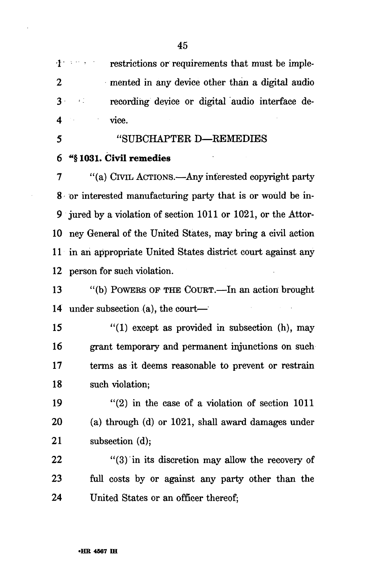1 • restrictions or requirements that must be imple-2 mented in any device other than a digital audio 3 recording device or digital audio interface de-4 vice.

# 5 "SUBCHAPTER D—REMEDIES

### 6 "§ 1031. Civil remedies

7 "(a) CIVIL ACTIONS.—Any interested copyright party 8 or interested manufacturing party that is or would be in-9 jured by a violation of section 1011 or 1021, or the Attor-10 ney General of the United States, may bring a civil action 11 in an appropriate United States district court against any 12 person for such violation.

13 "(b) POWERS OF THE COURT.—In an action brought 14 under subsection (a), the court—

15 "(1) except as provided in subsection (h), may 16 grant temporary and permanent injunctions on such 17 terms as it deems reasonable to prevent or restrain 18 such violation;

19  $(2)$  in the case of a violation of section 1011 20 (a) through (d) or 1021, shall award damages under 21 subsection (d);

22  $(3)$  in its discretion may allow the recovery of 23 full costs by or against any party other than the 24 United States or an officer thereof;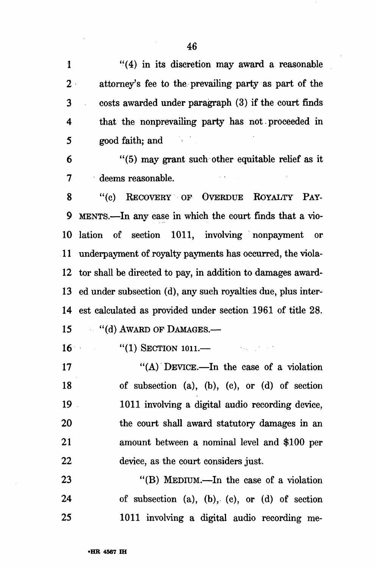1 "(4) in its discretion may award a reasonable 2 attorney's fee to the prevailing party as part of the 3 costs awarded under paragraph (3) if the court finds 4 that the nonprevailing party has not. proceeded in 5 good faith; and

6 "(5) may grant such other equitable relief as it 7 deems reasonable.

8 "(c) RECOVERY OF OVERDUE ROYALTY PAY-9 MENTS.—In any case in which the court finds that a vio-10 lation of section 1011, involving nonpayment or 11 underpayment of royalty payments has occurred, the viola-12 tor shall be directed to pay, in addition to damages award-13 ed under subsection (d), any such royalties due, plus inter-14 est calculated as provided under section 1961 of title 28.

15 "(d) AWARD OF DAMAGES.—

16 "(1) SECTION 1011.—

17  $((A)$  DEVICE.—In the case of a violation 18 of subsection (a), (b), (c), or (d) of section 19 1011 involving a digital audio recording device, 20 the court shall award statutory damages in an 21 amount between a nominal level and \$100 per 22 device, as the court considers just.

23 "(B) MEDIUM.—In the case of a violation 24 of subsection (a), (b), (c), or (d) of section 25 1011 involving a digital audio recording me-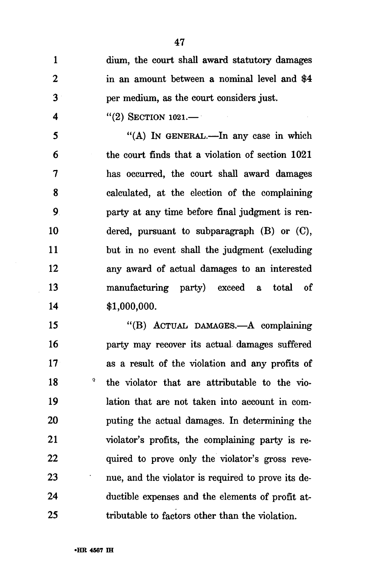$\mathbf{1}$ dium, the court shall award statutory damages  $\overline{2}$ in an amount between a nominal level and \$4 3 per medium, as the court considers just.

"(2) SECTION 1021.—

4

"(A) IN GENERAL.—In any case in which 5 the court finds that a violation of section 1021 6 has occurred, the court shall award damages 7 8 calculated, at the election of the complaining party at any time before final judgment is ren-9 10 dered, pursuant to subparagraph (B) or (C), 11 but in no event shall the judgment (excluding 12 any award of actual damages to an interested 13 manufacturing party) exceed a total of \$1,000,000.  $14$ 

"(B) ACTUAL DAMAGES.—A complaining 15 16 party may recover its actual damages suffered as a result of the violation and any profits of  $17$ 0 18 the violator that are attributable to the vio-19 lation that are not taken into account in com-20 puting the actual damages. In determining the 21 violator's profits, the complaining party is re-22 quired to prove only the violator's gross reve-23 nue, and the violator is required to prove its de-24 ductible expenses and the elements of profit at-25 tributable to factors other than the violation.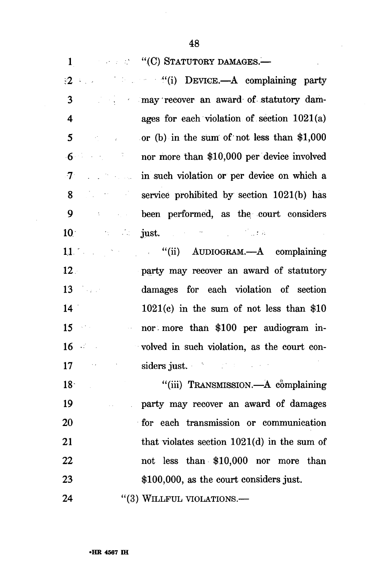**: "... "... "... "... STATUTORY DAMAGES.—**  $\mathbf{1}$ 

"(i) DEVICE.—A complaining party may recover an award of statutory dam-3  $\overline{\mathbf{4}}$ ages for each violation of section 1021(a) 5 or (b) in the sum of not less than \$1,000 Saturn Corp.  $\mathcal{L}^{\text{max}}_{\text{max}}$  , where  $\mathcal{L}^{\text{max}}_{\text{max}}$  $6\overline{6}$ nor more than \$10,000 per device involved  $\label{eq:2} \mathcal{L}_{\text{max}} = \frac{1}{2} \sum_{i=1}^{N} \frac{1}{2} \sum_{i=1}^{N} \frac{1}{2} \sum_{i=1}^{N} \frac{1}{2} \sum_{i=1}^{N} \frac{1}{2} \sum_{i=1}^{N} \frac{1}{2} \sum_{i=1}^{N} \frac{1}{2} \sum_{i=1}^{N} \frac{1}{2} \sum_{i=1}^{N} \frac{1}{2} \sum_{i=1}^{N} \frac{1}{2} \sum_{i=1}^{N} \frac{1}{2} \sum_{i=1}^{N} \frac{1}{2} \sum_{i=1}$ in such violation or per device on which a  $\tau$ 8  $\mathcal{L}^{\mathcal{L}}(\mathcal{L}^{\mathcal{L}})$  and  $\mathcal{L}^{\mathcal{L}}(\mathcal{L}^{\mathcal{L}})$  and  $\mathcal{L}^{\mathcal{L}}(\mathcal{L}^{\mathcal{L}})$ service prohibited by section 1021(b) has 9 been performed, as the court considers just. ''... just. ''... ''... ''... ''... ''...  $10<sup>1</sup>$ 

11 (ii) AUDIOGRAM.—A complaining  $12<sub>1</sub>$ party may recover an award of statutory damages for each violation of section 13  $\mathcal{L}^{\text{max}}_{\text{max}}$  and  $\mathcal{L}^{\text{max}}_{\text{max}}$ 1021(c) in the sum of not less than \$10  $14<sup>2</sup>$ nor more than \$100 per audiogram in- $15<sub>1</sub>$  $\sim 200$  km s  $^{-1}$  $16 \sim$ volved in such violation, as the court considers just. 17  $\sim$   $\epsilon$ 

 $"$ (iii) TRANSMISSION.—A complaining  $18<sup>2</sup>$ 19 party may recover an award of damages 20 for each transmission or communication 21 that violates section 1021(d) in the sum of not less than \$10,000 nor more than 22 23 \$100,000, as the court considers just.

(3) WILLFUL VIOLATIONS.— 24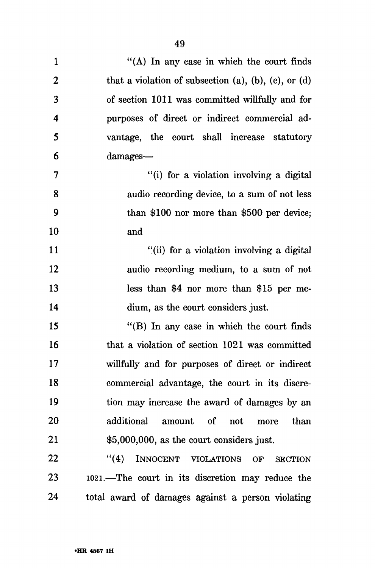| $\mathbf{1}$            | "(A) In any case in which the court finds                       |
|-------------------------|-----------------------------------------------------------------|
| $\boldsymbol{2}$        | that a violation of subsection $(a)$ , $(b)$ , $(c)$ , or $(d)$ |
| 3                       | of section 1011 was committed willfully and for                 |
| $\overline{\mathbf{4}}$ | purposes of direct or indirect commercial ad-                   |
| 5                       | vantage, the court shall increase statutory                     |
| 6                       | damages-                                                        |
| 7                       | "(i) for a violation involving a digital                        |
| 8                       | audio recording device, to a sum of not less                    |
| 9                       | than $$100$ nor more than $$500$ per device;                    |
| 10                      | and                                                             |
| 11                      | "(ii) for a violation involving a digital                       |
| 12                      | audio recording medium, to a sum of not                         |
| 13                      | less than \$4 nor more than \$15 per me-                        |
| 14                      | dium, as the court considers just.                              |
| 15                      | " $(B)$ In any case in which the court finds                    |
| 16                      | that a violation of section 1021 was committed                  |
| <b>17</b>               | willfully and for purposes of direct or indirect                |
| 18                      | commercial advantage, the court in its discre-                  |
| 19                      | tion may increase the award of damages by an                    |
| 20                      | additional<br>amount of not<br>than<br>more                     |
| 21                      | \$5,000,000, as the court considers just.                       |
| 22                      | ``(4)<br>INNOCENT VIOLATIONS<br>OF<br><b>SECTION</b>            |
| 23                      | 1021.—The court in its discretion may reduce the                |
| 24                      | total award of damages against a person violating               |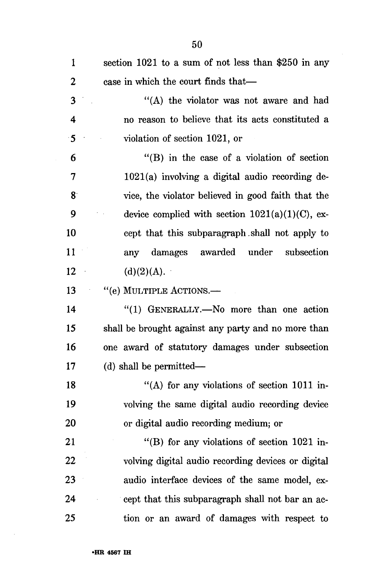| 1         | section $1021$ to a sum of not less than \$250 in any |
|-----------|-------------------------------------------------------|
| 2         | case in which the court finds that—                   |
| 3         | "(A) the violator was not aware and had               |
| 4         | no reason to believe that its acts constituted a      |
| $\cdot$ 5 | violation of section 1021, or                         |
| 6         | "(B) in the case of a violation of section            |
| 7         | $1021(a)$ involving a digital audio recording de-     |
| $8 -$     | vice, the violator believed in good faith that the    |
| 9         | device complied with section $1021(a)(1)(C)$ , ex-    |
| 10        | cept that this subparagraph shall not apply to        |
| 11        | damages awarded under subsection<br>any               |
| 12        | (d)(2)(A).                                            |
| 13        | "(e) MULTIPLE ACTIONS.—                               |
| 14        | "(1) GENERALLY.—No more than one action               |
| 15        | shall be brought against any party and no more than   |
| 16        | one award of statutory damages under subsection       |
| 17        | $(d)$ shall be permitted—                             |
| 18        | "(A) for any violations of section $1011$ in-         |
| 19        | volving the same digital audio recording device       |
| <b>20</b> | or digital audio recording medium; or                 |
| 21        | "(B) for any violations of section $1021$ in-         |
| 22        | volving digital audio recording devices or digital    |
| 23        | audio interface devices of the same model, ex-        |
| 24        | cept that this subparagraph shall not bar an ac-      |
| 25        | tion or an award of damages with respect to           |

 $\sim 10^7$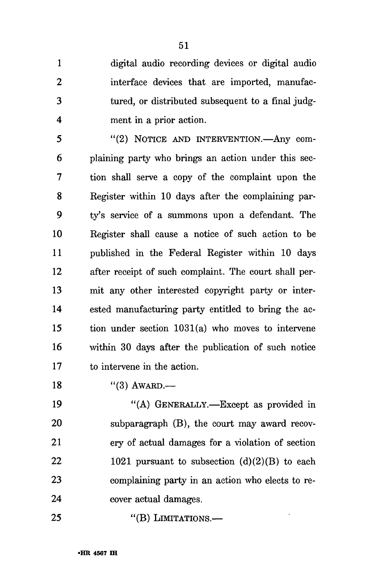1 digital audio recording devices or digital audio 2 interface devices that are imported, manufac-3 tured, or distributed subsequent to a final judg-4 ment in a prior action.

5 "(2) NOTICE AND INTERVENTION.—Any com-6 plaining party who brings an action under this sec-7 tion shall serve a copy of the complaint upon the 8 Register within 10 days after the complaining par-9 ty^s service of a summons upon a defendant. The 10 Register shall cause a notice of such action to be 11 published in the Federal Register within 10 days 12 after receipt of such complaint. The court shall per-13 mit any other interested copyright party or inter-14 ested manufacturing party entitled to bring the ac-15 tion under section 1031(a) who moves to intervene 16 within 30 days after the publication of such notice 17 to intervene in the action.

18 "(3) AWARD.—

19 "(A) GENERALLY.—Except as provided in 20 subparagraph (B), the court may award recov-21 ery of actual damages for a violation of section 22 1021 pursuant to subsection  $(d)(2)(B)$  to each 23 complaining party in an action who elects to re-24 cover actual damages.

25 "(B) LIMITATIONS.—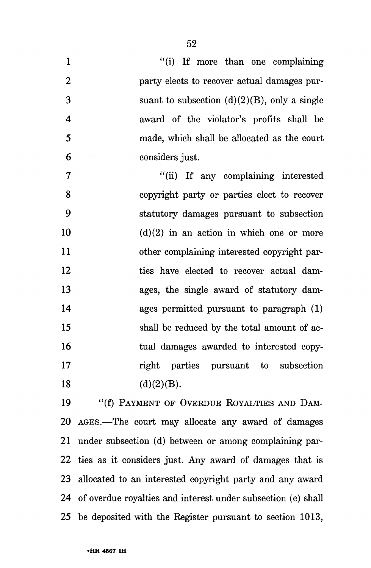| 1                       | "(i) If more than one complaining               |
|-------------------------|-------------------------------------------------|
| $\overline{2}$          | party elects to recover actual damages pur-     |
| 3                       | suant to subsection $(d)(2)(B)$ , only a single |
| $\overline{\mathbf{4}}$ | award of the violator's profits shall be        |
| 5                       | made, which shall be allocated as the court     |
| 6                       | considers just.                                 |
| $\overline{7}$          | "(ii) If any complaining interested             |
| 8                       | copyright party or parties elect to recover     |
| 9                       | statutory damages pursuant to subsection        |
| 10                      | $(d)(2)$ in an action in which one or more      |
| 11                      | other complaining interested copyright par-     |
| 12                      | ties have elected to recover actual dam-        |
| 13                      | ages, the single award of statutory dam-        |
| 14                      | ages permitted pursuant to paragraph (1)        |
| 15                      | shall be reduced by the total amount of ac-     |
| 16                      | tual damages awarded to interested copy-        |
| 17                      | right parties pursuant to subsection            |
| 18                      | (d)(2)(B).                                      |
| 19                      | "(f) PAYMENT OF OVERDUE ROYALTIES AND DAM-      |

(I) PAYMENT OF OVERDUE ROYALTIES AN 20 AGES.—The court may allocate any award of damages 21 under subsection (d) between or among complaining par-22 ties as it considers just. Any award of damages that is 23 allocated to an interested copyright party and any award 24 of overdue royalties and interest under subsection (c) shall 25 be deposited with the Register pursuant to section 1013,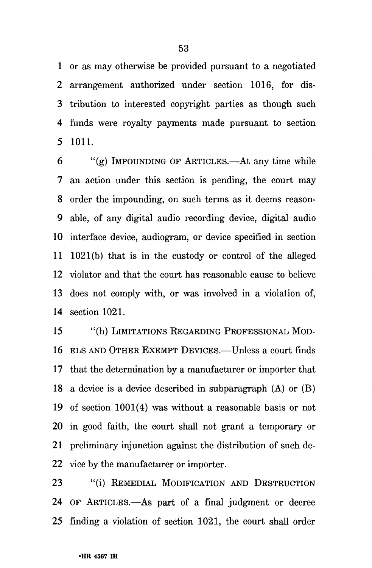1 or as may otherwise be provided pursuant to a negotiated 2 arrangement authorized under section 1016, for dis-3 tribution to interested copyright parties as though such 4 funds were royalty payments made pursuant to section 5 1011.

6 "(g) IMPOUNDING OF ARTICLES.—At any time while 7 an action under this section is pending, the court may 8 order the impounding, on such terms as it deems reason-9 able, of any digital audio recording device, digital audio 10 interface device, audiogram, or device specified in section 11 1021(b) that is in the custody or control of the alleged 12 violator and that the court has reasonable cause to believe 13 does not comply with, or was involved in a violation of, 14 section 1021.

15 "(h) LIMITATIONS REGARDING PROFESSIONAL MOD-16 ELS AND OTHER EXEMPT DEVICES.—Unless a court finds 17 that the determination by a manufacturer or importer that 18 a device is a device described in subparagraph (A) or (B) 19 of section 1001(4) was without a reasonable basis or not 20 in good faith, the court shall not grant a temporary or 21 preliminary injunction against the distribution of such de-22 vice by the manufacturer or importer.

23 "(i) REMEDIAL MODIFICATION AND DESTRUCTION 24 OF ARTICLES.—As part of a final judgment or decree 25 finding a violation of section 1021, the court shall order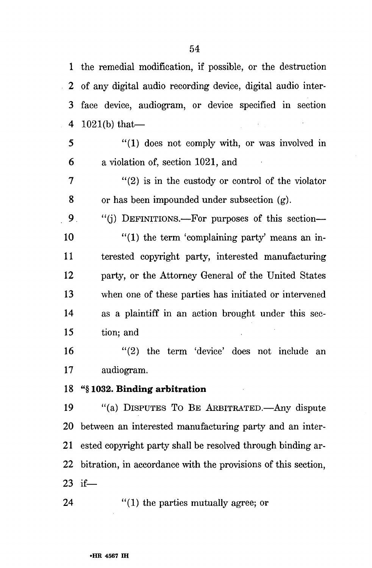1 the remedial modification, if possible, or the destruction 2 of any digital audio recording device, digital audio inter-3 face device, audiogram, or device specified in section 4 1021(b) that—

5 "(1) does not comply with, or was involved in 6 a violation of, section 1021, and

 $7$  "(2) is in the custody or control of the violator 8 or has been impounded under subsection (g).

9. "(j) DEFINITIONS.—For purposes of this section—  $10$  "(1) the term 'complaining party' means an in-11 terested copyright party, interested manufacturing 12 party, or the Attorney General of the United States 13 when one of these parties has initiated or intervened 14 as a plaintiff in an action brought under this sec-15 tion; and

16 "(2) the term 'device' does not include an 17 audiogram.

### 18 "§ **1032. Binding arbitration**

19 "(a) DISPUTES TO BE ARBITRATED.—Any dispute 20 between an interested manufacturing party and an inter-21 ested copyright party shall be resolved through binding ar-22 bitration, in accordance with the provisions of this section, 23 if—

24 "(1) the parties mutually agree; or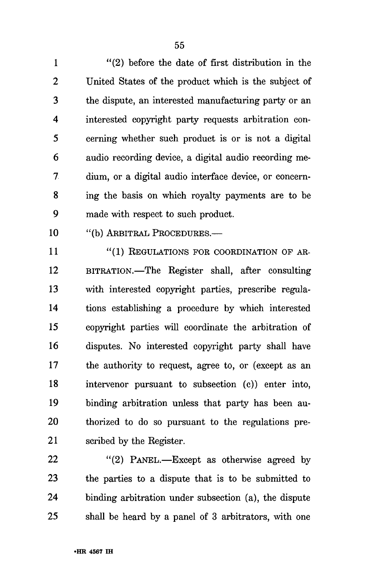1 "(2) before the date of first distribution in the 2 United States of the product which is the subject of 3 the dispute, an interested manufacturing party or an 4 interested copyright party requests arbitration con-5 cerning whether such product is or is not a digital 6 audio recording device, a digital audio recording me-7 dium, or a digital audio interface device, or concern-8 ing the basis on which royalty payments are to be 9 made with respect to such product.

10 "(b) ARBITRAL PROCEDURES.—

11 "(1) REGULATIONS FOR COORDINATION OF AR-12 BITRATION.—The Register shall, after consulting 13 with interested copyright parties, prescribe regula-14 tions establishing a procedure by which interested 15 copyright parties will coordinate the arbitration of 16 disputes. No interested copyright party shall have 17 the authority to request, agree to, or (except as an 18 intervenor pursuant to subsection (c)) enter into, 19 binding arbitration unless that party has been au-20 thorized to do so pursuant to the regulations pre-21 scribed by the Register.

22 "(2) PANEL.—Except as otherwise agreed by 23 the parties to a dispute that is to be submitted to 24 binding arbitration under subsection (a), the dispute 25 shall be heard by a panel of 3 arbitrators, with one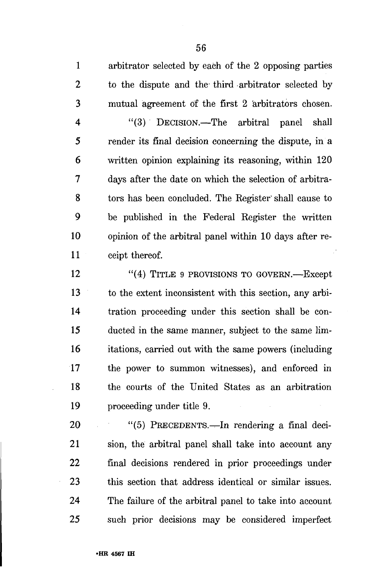1 arbitrator selected by each of the 2 opposing parties 2 to the dispute and the third arbitrator selected by 3 mutual agreement of the first 2 arbitrators chosen.

4 "(3) DECISION.—The arbitral panel shall 5 render its final decision concerning the dispute, in a 6 written opinion explaining its reasoning, within 120 7 days after the date on which the selection of arbitra-8 tors has been concluded. The Register' shall cause to 9 be published in the Federal Register the written 10 opinion of the arbitral panel within 10 days after re-11 ceipt thereof.

12 "(4) TITLE 9 PROVISIONS TO GOVERN.—Except 13 to the extent inconsistent with this section, any arbi-14 tration proceeding under this section shall be con-15 ducted in the same manner, subject to the same lim-16 itations, carried out with the same powers (including 17 the power to summon witnesses), and enforced in 18 the courts of the United States as an arbitration 19 proceeding under title 9.

20 "(5) PRECEDENTS—In rendering a final deci-21 sion, the arbitral panel shall take into account any 22 final decisions rendered in prior proceedings under 23 this section that address identical or similar issues. 24 The failure of the arbitral panel to take into account 25 such prior decisions may be considered imperfect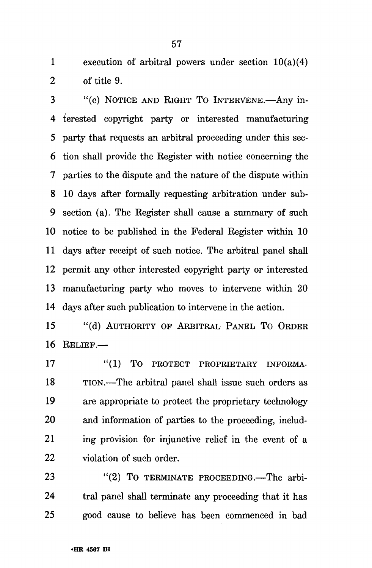1 execution of arbitral powers under section  $10(a)(4)$ 2 of title 9.

3 "(c) NOTICE AND RIGHT TO INTERVENE.—Any in-4 terested copyright party or interested manufacturing 5 party that requests an arbitral proceeding under this sec-6 tion shall provide the Register with notice concerning the 7 parties to the dispute and the nature of the dispute within 8 10 days after formally requesting arbitration under sub-9 section (a). The Register shall cause a summary of such 10 notice to be published in the Federal Register within 10 11 days after receipt of such notice. The arbitral panel shall 12 permit any other interested copyright party or interested 13 manufacturing party who moves to intervene within 20 14 days after such publication to intervene in the action.

15 "(d) AUTHORITY OF ARBITRAL PANEL TO ORDER 16 RELIEF.—

17 "(1) TO PROTECT PROPRIETARY INFORMA-18 TION.—The arbitral panel shall issue such orders as 19 are appropriate to protect the proprietary technology 20 and information of parties to the proceeding, includ-21 ing provision for injunctive relief in the event of a 22 violation of such order.

23 "(2) To TERMINATE PROCEEDING.—The arbi-24 tral panel shall terminate any proceeding that it has 25 good cause to believe has been commenced in bad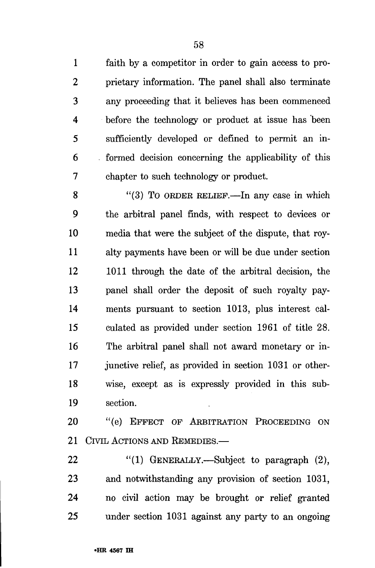1 faith by a competitor in order to gain access to pro-2 prietary information. The panel shall also terminate 3 any proceeding that it believes has been commenced 4 before the technology or product at issue has been 5 sufficiently developed or defined to permit an in-6 formed decision concerning the applicability of this 7 chapter to such technology or product.

8 "(3) To ORDER RELIEF.—In any case in which 9 the arbitral panel finds, with respect to devices or 10 media that were the subject of the dispute, that roy-11 alty payments have been or will be due under section 12 1011 through the date of the arbitral decision, the 13 panel shall order the deposit of such royalty pay-14 ments pursuant to section 1013, plus interest cal-15 culated as provided under section 1961 of title 28. 16 The arbitral panel shall not award monetary or in-17 junctive relief, as provided in section 1031 or other-18 wise, except as is expressly provided in this sub-19 section.

20 "(e) EFFECT OF ARBITRATION PROCEEDING ON 21 CIVIL ACTIONS AND REMEDIES.

22 "(1) GENERALLY.—Subject to paragraph (2), 23 and notwithstanding any provision of section 1031, 24 no civil action may be brought or relief granted 25 under section 1031 against any party to an ongoing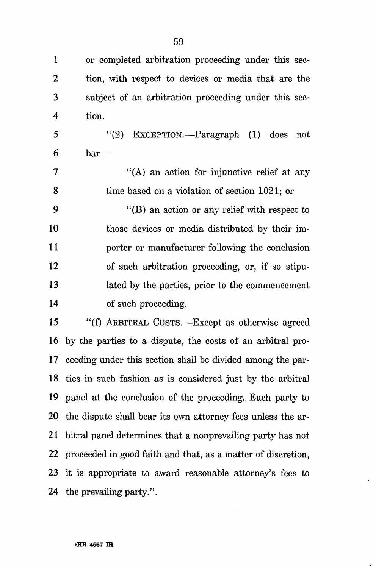1 or completed arbitration proceeding under this sec-2 tion, with respect to devices or media that are the 3 subject of an arbitration proceeding under this sec-4 tion.

5 "(2) EXCEPTION.—Paragraph (1) does not  $6$  bar—

7 "(A) an action for injunctive relief at any 8 time based on a violation of section 1021; or

9 "(B) an action or any relief with respect to 10 those devices or media distributed by their im-11 porter or manufacturer following the conclusion 12 of such arbitration proceeding, or, if so stipu-13 lated by the parties, prior to the commencement 14 of such proceeding.

15 "(f) ARBITRAL COSTS.—Except as otherwise agreed 16 by the parties to a dispute, the costs of an arbitral pro-17 ceeding under this section shall be divided among the par-18 ties in such fashion as is considered just by the arbitral 19 panel at the conclusion of the proceeding. Each party to 20 the dispute shall bear its own attorney fees unless the ar-21 bitral panel determines that a nonprevailing party has not 22 proceeded in good faith and that, as a matter of discretion, 23 it is appropriate to award reasonable attorney's fees to 24 the prevailing party.''.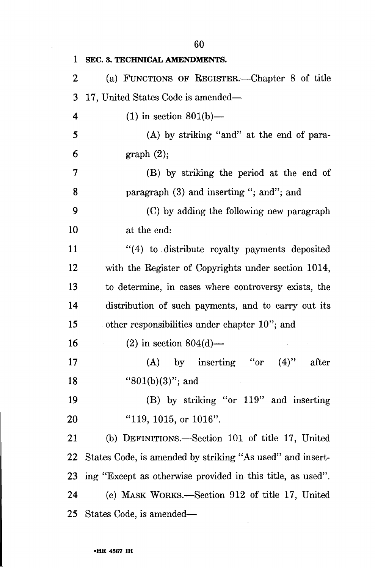**1 SEC. 3. TECHNICAL AMENDMENTS.**  2 (a) FUNCTIONS OF REGISTER.—Chapter 8 of title 3 17, United States Code is amended— 4 (1) in section 801(b)— 5 (A) by striking "and" at the end of para-6 graph  $(2)$ ; 7 (B) by striking the period at the end of 8 paragraph (3) and inserting "; and"; and 9 (C) by adding the following new paragraph 10 at the end: 11 "(4) to distribute royalty payments deposited 12 with the Register of Copyrights under section 1014, 13 to determine, in cases where controversy exists, the 14 distribution of such payments, and to carry out its 15 other responsibilities under chapter 10"; and 16 (2) in section  $804(d)$ — 17 (A) by inserting "or (4)" after 18 "801(b)(3)"; and 19 (B) by striking "or 119" and inserting 20 "119, 1015, or 1016". 21 (b) DEFINITIONS.—Section 101 of title 17, United 22 States Code, is amended by striking "As used" and insert-23 ing "Except as otherwise provided in this title, as used". 24 (c) MASK WORKS.—Section 912 of title 17, United 25 States Code, is amended—